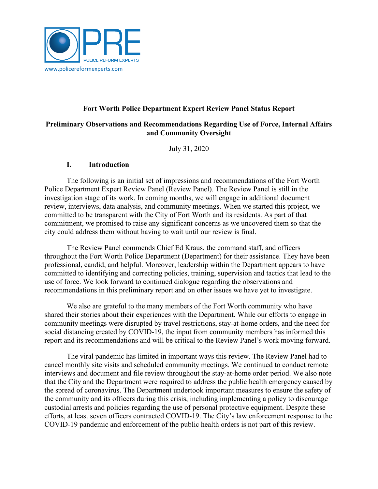

# **Fort Worth Police Department Expert Review Panel Status Report**

#### **Preliminary Observations and Recommendations Regarding Use of Force, Internal Affairs and Community Oversight**

July 31, 2020

#### **I. Introduction**

The following is an initial set of impressions and recommendations of the Fort Worth Police Department Expert Review Panel (Review Panel). The Review Panel is still in the investigation stage of its work. In coming months, we will engage in additional document review, interviews, data analysis, and community meetings. When we started this project, we committed to be transparent with the City of Fort Worth and its residents. As part of that commitment, we promised to raise any significant concerns as we uncovered them so that the city could address them without having to wait until our review is final.

The Review Panel commends Chief Ed Kraus, the command staff, and officers throughout the Fort Worth Police Department (Department) for their assistance. They have been professional, candid, and helpful. Moreover, leadership within the Department appears to have committed to identifying and correcting policies, training, supervision and tactics that lead to the use of force. We look forward to continued dialogue regarding the observations and recommendations in this preliminary report and on other issues we have yet to investigate.

We also are grateful to the many members of the Fort Worth community who have shared their stories about their experiences with the Department. While our efforts to engage in community meetings were disrupted by travel restrictions, stay-at-home orders, and the need for social distancing created by COVID-19, the input from community members has informed this report and its recommendations and will be critical to the Review Panel's work moving forward.

The viral pandemic has limited in important ways this review. The Review Panel had to cancel monthly site visits and scheduled community meetings. We continued to conduct remote interviews and document and file review throughout the stay-at-home order period. We also note that the City and the Department were required to address the public health emergency caused by the spread of coronavirus. The Department undertook important measures to ensure the safety of the community and its officers during this crisis, including implementing a policy to discourage custodial arrests and policies regarding the use of personal protective equipment. Despite these efforts, at least seven officers contracted COVID-19. The City's law enforcement response to the COVID-19 pandemic and enforcement of the public health orders is not part of this review.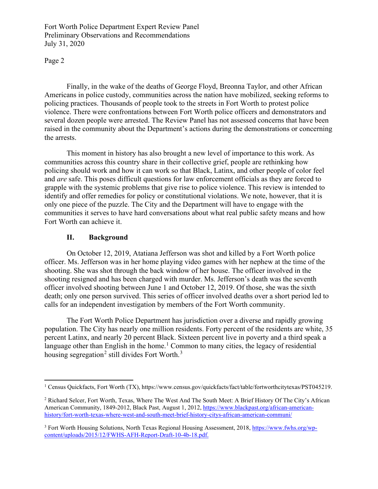Page 2

 Finally, in the wake of the deaths of George Floyd, Breonna Taylor, and other African Americans in police custody, communities across the nation have mobilized, seeking reforms to policing practices. Thousands of people took to the streets in Fort Worth to protest police violence. There were confrontations between Fort Worth police officers and demonstrators and several dozen people were arrested. The Review Panel has not assessed concerns that have been raised in the community about the Department's actions during the demonstrations or concerning the arrests.

 This moment in history has also brought a new level of importance to this work. As communities across this country share in their collective grief, people are rethinking how policing should work and how it can work so that Black, Latinx, and other people of color feel and *are* safe. This poses difficult questions for law enforcement officials as they are forced to grapple with the systemic problems that give rise to police violence. This review is intended to identify and offer remedies for policy or constitutional violations. We note, however, that it is only one piece of the puzzle. The City and the Department will have to engage with the communities it serves to have hard conversations about what real public safety means and how Fort Worth can achieve it.

#### **II. Background**

On October 12, 2019, Atatiana Jefferson was shot and killed by a Fort Worth police officer. Ms. Jefferson was in her home playing video games with her nephew at the time of the shooting. She was shot through the back window of her house. The officer involved in the shooting resigned and has been charged with murder. Ms. Jefferson's death was the seventh officer involved shooting between June 1 and October 12, 2019. Of those, she was the sixth death; only one person survived. This series of officer involved deaths over a short period led to calls for an independent investigation by members of the Fort Worth community.

The Fort Worth Police Department has jurisdiction over a diverse and rapidly growing population. The City has nearly one million residents. Forty percent of the residents are white, 35 percent Latinx, and nearly 20 percent Black. Sixteen percent live in poverty and a third speak a language other than English in the home.<sup>[1](#page-1-0)</sup> Common to many cities, the legacy of residential housing segregation<sup>[2](#page-1-1)</sup> still divides Fort Worth.<sup>[3](#page-1-2)</sup>

<span id="page-1-0"></span><sup>&</sup>lt;sup>1</sup> Census Quickfacts, Fort Worth (TX), https://www.census.gov/quickfacts/fact/table/fortworthcitytexas/PST045219.

<span id="page-1-1"></span><sup>2</sup> Richard Selcer, Fort Worth, Texas, Where The West And The South Meet: A Brief History Of The City's African American Community, 1849-2012, Black Past, August 1, 2012, [https://www.blackpast.org/african-american](https://www.blackpast.org/african-american-history/fort-worth-texas-where-west-and-south-meet-brief-history-citys-african-american-communi/)[history/fort-worth-texas-where-west-and-south-meet-brief-history-citys-african-american-communi/](https://www.blackpast.org/african-american-history/fort-worth-texas-where-west-and-south-meet-brief-history-citys-african-american-communi/)

<span id="page-1-2"></span><sup>&</sup>lt;sup>3</sup> Fort Worth Housing Solutions, North Texas Regional Housing Assessment, 2018[, https://www.fwhs.org/wp](https://www.fwhs.org/wp-content/uploads/2015/12/FWHS-AFH-Report-Draft-10-4b-18.pdf)[content/uploads/2015/12/FWHS-AFH-Report-Draft-10-4b-18.pdf.](https://www.fwhs.org/wp-content/uploads/2015/12/FWHS-AFH-Report-Draft-10-4b-18.pdf)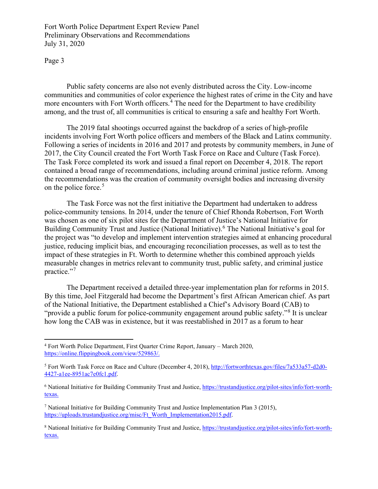Page 3

Public safety concerns are also not evenly distributed across the City. Low-income communities and communities of color experience the highest rates of crime in the City and have more encounters with Fort Worth officers.<sup>[4](#page-2-0)</sup> The need for the Department to have credibility among, and the trust of, all communities is critical to ensuring a safe and healthy Fort Worth.

The 2019 fatal shootings occurred against the backdrop of a series of high-profile incidents involving Fort Worth police officers and members of the Black and Latinx community. Following a series of incidents in 2016 and 2017 and protests by community members, in June of 2017, the City Council created the Fort Worth Task Force on Race and Culture (Task Force). The Task Force completed its work and issued a final report on December 4, 2018. The report contained a broad range of recommendations, including around criminal justice reform. Among the recommendations was the creation of community oversight bodies and increasing diversity on the police force.<sup>[5](#page-2-1)</sup>

The Task Force was not the first initiative the Department had undertaken to address police-community tensions. In 2014, under the tenure of Chief Rhonda Robertson, Fort Worth was chosen as one of six pilot sites for the Department of Justice's National Initiative for Building Community Trust and Justice (National Initiative).[6](#page-2-2) The National Initiative's goal for the project was "to develop and implement intervention strategies aimed at enhancing procedural justice, reducing implicit bias, and encouraging reconciliation processes, as well as to test the impact of these strategies in Ft. Worth to determine whether this combined approach yields measurable changes in metrics relevant to community trust, public safety, and criminal justice practice."<sup>[7](#page-2-3)</sup>

The Department received a detailed three-year implementation plan for reforms in 2015. By this time, Joel Fitzgerald had become the Department's first African American chief. As part of the National Initiative, the Department established a Chief's Advisory Board (CAB) to "provide a public forum for police-community engagement around public safety."<sup>[8](#page-2-4)</sup> It is unclear how long the CAB was in existence, but it was reestablished in 2017 as a forum to hear

<span id="page-2-0"></span><sup>4</sup> Fort Worth Police Department, First Quarter Crime Report, January – March 2020, [https://online.flippingbook.com/view/529863/.](https://online.flippingbook.com/view/529863/)

<span id="page-2-1"></span><sup>5</sup> Fort Worth Task Force on Race and Culture (December 4, 2018), [http://fortworthtexas.gov/files/7a533a57-d2d0-](http://fortworthtexas.gov/files/7a533a57-d2d0-4427-a1ee-8951ac7e0fc1.pdf) [4427-a1ee-8951ac7e0fc1.pdf.](http://fortworthtexas.gov/files/7a533a57-d2d0-4427-a1ee-8951ac7e0fc1.pdf)

<span id="page-2-2"></span><sup>&</sup>lt;sup>6</sup> National Initiative for Building Community Trust and Justice, [https://trustandjustice.org/pilot-sites/info/fort-worth](https://trustandjustice.org/pilot-sites/info/fort-worth-texas)[texas.](https://trustandjustice.org/pilot-sites/info/fort-worth-texas)

<span id="page-2-3"></span><sup>7</sup> National Initiative for Building Community Trust and Justice Implementation Plan 3 (2015), [https://uploads.trustandjustice.org/misc/Ft\\_Worth\\_Implementation2015.pdf.](https://uploads.trustandjustice.org/misc/Ft_Worth_Implementation2015.pdf)

<span id="page-2-4"></span><sup>&</sup>lt;sup>8</sup> National Initiative for Building Community Trust and Justice, [https://trustandjustice.org/pilot-sites/info/fort-worth](https://trustandjustice.org/pilot-sites/info/fort-worth-texas)[texas.](https://trustandjustice.org/pilot-sites/info/fort-worth-texas)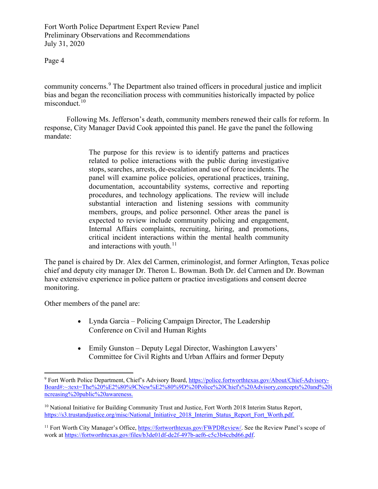Page 4

community concerns.<sup>[9](#page-3-0)</sup> The Department also trained officers in procedural justice and implicit bias and began the reconciliation process with communities historically impacted by police misconduct. $10$ 

Following Ms. Jefferson's death, community members renewed their calls for reform. In response, City Manager David Cook appointed this panel. He gave the panel the following mandate:

> The purpose for this review is to identify patterns and practices related to police interactions with the public during investigative stops, searches, arrests, de-escalation and use of force incidents. The panel will examine police policies, operational practices, training, documentation, accountability systems, corrective and reporting procedures, and technology applications. The review will include substantial interaction and listening sessions with community members, groups, and police personnel. Other areas the panel is expected to review include community policing and engagement, Internal Affairs complaints, recruiting, hiring, and promotions, critical incident interactions within the mental health community and interactions with youth. $11$

The panel is chaired by Dr. Alex del Carmen, criminologist, and former Arlington, Texas police chief and deputy city manager Dr. Theron L. Bowman. Both Dr. del Carmen and Dr. Bowman have extensive experience in police pattern or practice investigations and consent decree monitoring.

Other members of the panel are:

- Lynda Garcia Policing Campaign Director, The Leadership Conference on Civil and Human Rights
- Emily Gunston Deputy Legal Director, Washington Lawyers' Committee for Civil Rights and Urban Affairs and former Deputy

<span id="page-3-0"></span><sup>&</sup>lt;sup>9</sup> Fort Worth Police Department, Chief's Advisory Board, [https://police.fortworthtexas.gov/About/Chief-Advisory-](https://police.fortworthtexas.gov/About/Chief-Advisory-Board#:%7E:text=The%20%E2%80%9CNew%E2%80%9D%20Police%20Chief)[Board#:~:text=The%20%E2%80%9CNew%E2%80%9D%20Police%20Chief's%20Advisory,concepts%20and%20i](https://police.fortworthtexas.gov/About/Chief-Advisory-Board#:%7E:text=The%20%E2%80%9CNew%E2%80%9D%20Police%20Chief) [ncreasing%20public%20awareness.](https://police.fortworthtexas.gov/About/Chief-Advisory-Board#:%7E:text=The%20%E2%80%9CNew%E2%80%9D%20Police%20Chief)

<span id="page-3-1"></span><sup>&</sup>lt;sup>10</sup> National Initiative for Building Community Trust and Justice, Fort Worth 2018 Interim Status Report, [https://s3.trustandjustice.org/misc/National\\_Initiative\\_2018\\_Interim\\_Status\\_Report\\_Fort\\_Worth.pdf.](https://s3.trustandjustice.org/misc/National_Initiative_2018_Interim_Status_Report_Fort_Worth.pdf)

<span id="page-3-2"></span><sup>&</sup>lt;sup>11</sup> Fort Worth City Manager's Office[, https://fortworthtexas.gov/FWPDReview/.](https://fortworthtexas.gov/FWPDReview/) See the Review Panel's scope of work at [https://fortworthtexas.gov/files/b3de01df-de2f-497b-aef6-c5c3b4ccbd66.pdf.](https://fortworthtexas.gov/files/b3de01df-de2f-497b-aef6-c5c3b4ccbd66.pdf)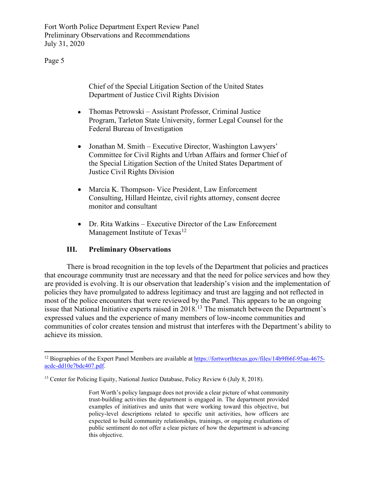Page 5

Chief of the Special Litigation Section of the United States Department of Justice Civil Rights Division

- Thomas Petrowski Assistant Professor, Criminal Justice Program, Tarleton State University, former Legal Counsel for the Federal Bureau of Investigation
- Jonathan M. Smith Executive Director, Washington Lawyers' Committee for Civil Rights and Urban Affairs and former Chief of the Special Litigation Section of the United States Department of Justice Civil Rights Division
- Marcia K. Thompson- Vice President, Law Enforcement Consulting, Hillard Heintze, civil rights attorney, consent decree monitor and consultant
- Dr. Rita Watkins Executive Director of the Law Enforcement Management Institute of Texas<sup>[12](#page-4-0)</sup>

# **III. Preliminary Observations**

There is broad recognition in the top levels of the Department that policies and practices that encourage community trust are necessary and that the need for police services and how they are provided is evolving. It is our observation that leadership's vision and the implementation of policies they have promulgated to address legitimacy and trust are lagging and not reflected in most of the police encounters that were reviewed by the Panel. This appears to be an ongoing issue that National Initiative experts raised in 2018.<sup>[13](#page-4-1)</sup> The mismatch between the Department's expressed values and the experience of many members of low-income communities and communities of color creates tension and mistrust that interferes with the Department's ability to achieve its mission.

<span id="page-4-0"></span><sup>&</sup>lt;sup>12</sup> Biographies of the Expert Panel Members are available a[t https://fortworthtexas.gov/files/14b9f66f-95aa-4675](https://fortworthtexas.gov/files/14b9f66f-95aa-4675-acdc-dd10e7bdc407.pdf) [acdc-dd10e7bdc407.pdf.](https://fortworthtexas.gov/files/14b9f66f-95aa-4675-acdc-dd10e7bdc407.pdf)

<span id="page-4-1"></span><sup>&</sup>lt;sup>13</sup> Center for Policing Equity, National Justice Database, Policy Review 6 (July 8, 2018).

Fort Worth's policy language does not provide a clear picture of what community trust-building activities the department is engaged in. The department provided examples of initiatives and units that were working toward this objective, but policy-level descriptions related to specific unit activities, how officers are expected to build community relationships, trainings, or ongoing evaluations of public sentiment do not offer a clear picture of how the department is advancing this objective.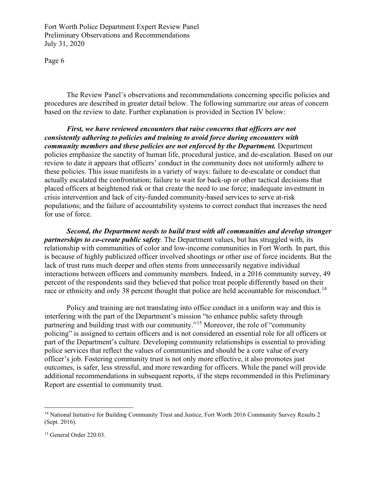Page 6

The Review Panel's observations and recommendations concerning specific policies and procedures are described in greater detail below. The following summarize our areas of concern based on the review to date. Further explanation is provided in Section IV below:

*First, we have reviewed encounters that raise concerns that officers are not consistently adhering to policies and training to avoid force during encounters with community members and these policies are not enforced by the Department.* Department policies emphasize the sanctity of human life, procedural justice, and de-escalation. Based on our review to date it appears that officers' conduct in the community does not uniformly adhere to these policies. This issue manifests in a variety of ways: failure to de-escalate or conduct that actually escalated the confrontation; failure to wait for back-up or other tactical decisions that placed officers at heightened risk or that create the need to use force; inadequate investment in crisis intervention and lack of city-funded community-based services to serve at-risk populations; and the failure of accountability systems to correct conduct that increases the need for use of force.

*Second, the Department needs to build trust with all communities and develop stronger partnerships to co-create public safety*. The Department values, but has struggled with, its relationship with communities of color and low-income communities in Fort Worth. In part, this is because of highly publicized officer involved shootings or other use of force incidents. But the lack of trust runs much deeper and often stems from unnecessarily negative individual interactions between officers and community members. Indeed, in a 2016 community survey, 49 percent of the respondents said they believed that police treat people differently based on their race or ethnicity and only 38 percent thought that police are held accountable for misconduct.<sup>[14](#page-5-0)</sup>

Policy and training are not translating into office conduct in a uniform way and this is interfering with the part of the Department's mission "to enhance public safety through partnering and building trust with our community."[15](#page-5-1) Moreover, the role of "community policing" is assigned to certain officers and is not considered an essential role for all officers or part of the Department's culture. Developing community relationships is essential to providing police services that reflect the values of communities and should be a core value of every officer's job. Fostering community trust is not only more effective, it also promotes just outcomes, is safer, less stressful, and more rewarding for officers. While the panel will provide additional recommendations in subsequent reports, if the steps recommended in this Preliminary Report are essential to community trust.

<span id="page-5-0"></span><sup>&</sup>lt;sup>14</sup> National Initiative for Building Community Trust and Justice, Fort Worth 2016 Community Survey Results 2 (Sept. 2016).

<span id="page-5-1"></span><sup>&</sup>lt;sup>15</sup> General Order 220.03.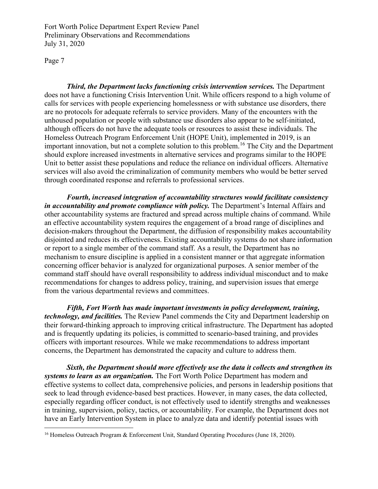Page 7

*Third, the Department lacks functioning crisis intervention services.* The Department does not have a functioning Crisis Intervention Unit. While officers respond to a high volume of calls for services with people experiencing homelessness or with substance use disorders, there are no protocols for adequate referrals to service providers. Many of the encounters with the unhoused population or people with substance use disorders also appear to be self-initiated, although officers do not have the adequate tools or resources to assist these individuals. The Homeless Outreach Program Enforcement Unit (HOPE Unit), implemented in 2019, is an important innovation, but not a complete solution to this problem.[16](#page-6-0) The City and the Department should explore increased investments in alternative services and programs similar to the HOPE Unit to better assist these populations and reduce the reliance on individual officers. Alternative services will also avoid the criminalization of community members who would be better served through coordinated response and referrals to professional services.

*Fourth, increased integration of accountability structures would facilitate consistency in accountability and promote compliance with policy.* The Department's Internal Affairs and other accountability systems are fractured and spread across multiple chains of command. While an effective accountability system requires the engagement of a broad range of disciplines and decision-makers throughout the Department, the diffusion of responsibility makes accountability disjointed and reduces its effectiveness. Existing accountability systems do not share information or report to a single member of the command staff. As a result, the Department has no mechanism to ensure discipline is applied in a consistent manner or that aggregate information concerning officer behavior is analyzed for organizational purposes. A senior member of the command staff should have overall responsibility to address individual misconduct and to make recommendations for changes to address policy, training, and supervision issues that emerge from the various departmental reviews and committees.

*Fifth, Fort Worth has made important investments in policy development, training, technology, and facilities.* The Review Panel commends the City and Department leadership on their forward-thinking approach to improving critical infrastructure. The Department has adopted and is frequently updating its policies, is committed to scenario-based training, and provides officers with important resources. While we make recommendations to address important concerns, the Department has demonstrated the capacity and culture to address them.

*Sixth, the Department should more effectively use the data it collects and strengthen its systems to learn as an organization.* The Fort Worth Police Department has modern and effective systems to collect data, comprehensive policies, and persons in leadership positions that seek to lead through evidence-based best practices. However, in many cases, the data collected, especially regarding officer conduct, is not effectively used to identify strengths and weaknesses in training, supervision, policy, tactics, or accountability. For example, the Department does not have an Early Intervention System in place to analyze data and identify potential issues with

<span id="page-6-0"></span><sup>&</sup>lt;sup>16</sup> Homeless Outreach Program & Enforcement Unit, Standard Operating Procedures (June 18, 2020).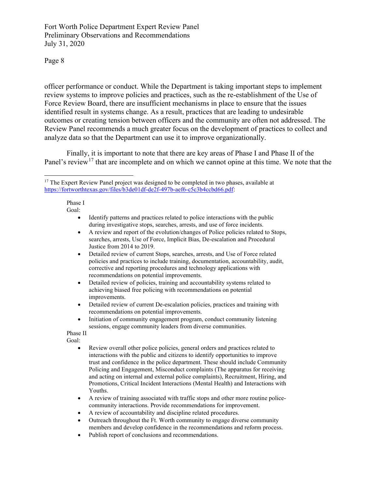Page 8

officer performance or conduct. While the Department is taking important steps to implement review systems to improve policies and practices, such as the re-establishment of the Use of Force Review Board, there are insufficient mechanisms in place to ensure that the issues identified result in systems change. As a result, practices that are leading to undesirable outcomes or creating tension between officers and the community are often not addressed. The Review Panel recommends a much greater focus on the development of practices to collect and analyze data so that the Department can use it to improve organizationally.

Finally, it is important to note that there are key areas of Phase I and Phase II of the Panel's review<sup>[17](#page-7-0)</sup> that are incomplete and on which we cannot opine at this time. We note that the

Phase I Goal:

- Identify patterns and practices related to police interactions with the public during investigative stops, searches, arrests, and use of force incidents.
- A review and report of the evolution/changes of Police policies related to Stops, searches, arrests, Use of Force, Implicit Bias, De-escalation and Procedural Justice from 2014 to 2019.
- Detailed review of current Stops, searches, arrests, and Use of Force related policies and practices to include training, documentation, accountability, audit, corrective and reporting procedures and technology applications with recommendations on potential improvements.
- Detailed review of policies, training and accountability systems related to achieving biased free policing with recommendations on potential improvements.
- Detailed review of current De-escalation policies, practices and training with recommendations on potential improvements.
- Initiation of community engagement program, conduct community listening sessions, engage community leaders from diverse communities.

Phase II Goal:

- Review overall other police policies, general orders and practices related to interactions with the public and citizens to identify opportunities to improve trust and confidence in the police department. These should include Community Policing and Engagement, Misconduct complaints (The apparatus for receiving and acting on internal and external police complaints), Recruitment, Hiring, and Promotions, Critical Incident Interactions (Mental Health) and Interactions with Youths.
- A review of training associated with traffic stops and other more routine policecommunity interactions. Provide recommendations for improvement.
- A review of accountability and discipline related procedures.
- Outreach throughout the Ft. Worth community to engage diverse community members and develop confidence in the recommendations and reform process.
- Publish report of conclusions and recommendations.

<span id="page-7-0"></span><sup>&</sup>lt;sup>17</sup> The Expert Review Panel project was designed to be completed in two phases, available at [https://fortworthtexas.gov/files/b3de01df-de2f-497b-aef6-c5c3b4ccbd66.pdf:](https://fortworthtexas.gov/files/b3de01df-de2f-497b-aef6-c5c3b4ccbd66.pdf)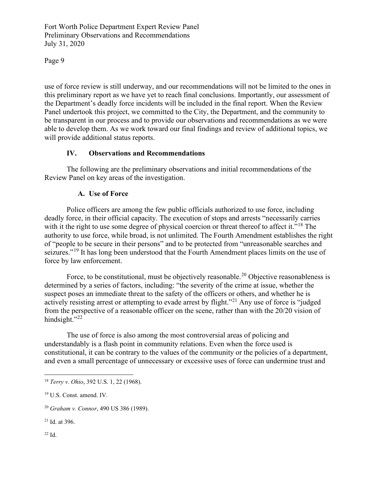Page 9

use of force review is still underway, and our recommendations will not be limited to the ones in this preliminary report as we have yet to reach final conclusions. Importantly, our assessment of the Department's deadly force incidents will be included in the final report. When the Review Panel undertook this project, we committed to the City, the Department, and the community to be transparent in our process and to provide our observations and recommendations as we were able to develop them. As we work toward our final findings and review of additional topics, we will provide additional status reports.

# **IV. Observations and Recommendations**

The following are the preliminary observations and initial recommendations of the Review Panel on key areas of the investigation.

# **A. Use of Force**

Police officers are among the few public officials authorized to use force, including deadly force, in their official capacity. The execution of stops and arrests "necessarily carries with it the right to use some degree of physical coercion or threat thereof to affect it."<sup>[18](#page-8-0)</sup> The authority to use force, while broad, is not unlimited. The Fourth Amendment establishes the right of "people to be secure in their persons" and to be protected from "unreasonable searches and seizures."<sup>19</sup> It has long been understood that the Fourth Amendment places limits on the use of force by law enforcement.

Force, to be constitutional, must be objectively reasonable.<sup>[20](#page-8-2)</sup> Objective reasonableness is determined by a series of factors, including: "the severity of the crime at issue, whether the suspect poses an immediate threat to the safety of the officers or others, and whether he is actively resisting arrest or attempting to evade arrest by flight."<sup>21</sup> Any use of force is "judged from the perspective of a reasonable officer on the scene, rather than with the 20/20 vision of hindsight." $^{22}$ 

The use of force is also among the most controversial areas of policing and understandably is a flash point in community relations. Even when the force used is constitutional, it can be contrary to the values of the community or the policies of a department, and even a small percentage of unnecessary or excessive uses of force can undermine trust and

<span id="page-8-3"></span><sup>21</sup> Id. at 396.

<span id="page-8-4"></span> $22$  Id.

<span id="page-8-0"></span><sup>18</sup> *Terry v. Ohio*, 392 U.S. 1, 22 (1968).

<span id="page-8-1"></span><sup>19</sup> U.S. Const. amend. IV.

<span id="page-8-2"></span><sup>20</sup> *Graham v. Connor*, 490 US 386 (1989).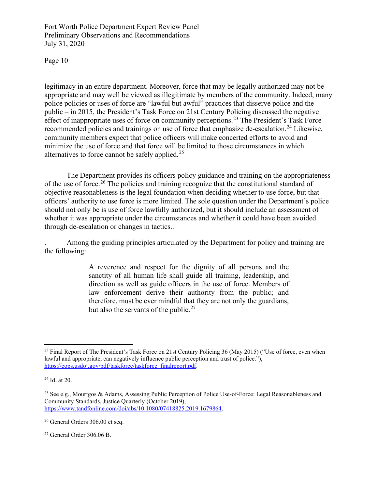Page 10

legitimacy in an entire department. Moreover, force that may be legally authorized may not be appropriate and may well be viewed as illegitimate by members of the community. Indeed, many police policies or uses of force are "lawful but awful" practices that disserve police and the public – in 2015, the President's Task Force on 21st Century Policing discussed the negative effect of inappropriate uses of force on community perceptions.<sup>[23](#page-9-0)</sup> The President's Task Force recommended policies and trainings on use of force that emphasize de-escalation.<sup>[24](#page-9-1)</sup> Likewise, community members expect that police officers will make concerted efforts to avoid and minimize the use of force and that force will be limited to those circumstances in which alternatives to force cannot be safely applied.<sup>[25](#page-9-2)</sup>

The Department provides its officers policy guidance and training on the appropriateness of the use of force.<sup>[26](#page-9-3)</sup> The policies and training recognize that the constitutional standard of objective reasonableness is the legal foundation when deciding whether to use force, but that officers' authority to use force is more limited. The sole question under the Department's police should not only be is use of force lawfully authorized, but it should include an assessment of whether it was appropriate under the circumstances and whether it could have been avoided through de-escalation or changes in tactics..

. Among the guiding principles articulated by the Department for policy and training are the following:

> A reverence and respect for the dignity of all persons and the sanctity of all human life shall guide all training, leadership, and direction as well as guide officers in the use of force. Members of law enforcement derive their authority from the public; and therefore, must be ever mindful that they are not only the guardians, but also the servants of the public.<sup>[27](#page-9-4)</sup>

<span id="page-9-0"></span><sup>&</sup>lt;sup>23</sup> Final Report of The President's Task Force on 21st Century Policing 36 (May 2015) ("Use of force, even when lawful and appropriate, can negatively influence public perception and trust of police."), [https://cops.usdoj.gov/pdf/taskforce/taskforce\\_finalreport.pdf.](https://cops.usdoj.gov/pdf/taskforce/taskforce_finalreport.pdf)

<span id="page-9-1"></span><sup>24</sup> Id. at 20.

<span id="page-9-2"></span><sup>&</sup>lt;sup>25</sup> See e.g., Mourtgos & Adams, Assessing Public Perception of Police Use-of-Force: Legal Reasonableness and Community Standards, Justice Quarterly (October 2019), [https://www.tandfonline.com/doi/abs/10.1080/07418825.2019.1679864.](https://www.tandfonline.com/doi/abs/10.1080/07418825.2019.1679864)

<span id="page-9-3"></span><sup>26</sup> General Orders 306.00 et seq.

<span id="page-9-4"></span><sup>27</sup> General Order 306.06 B.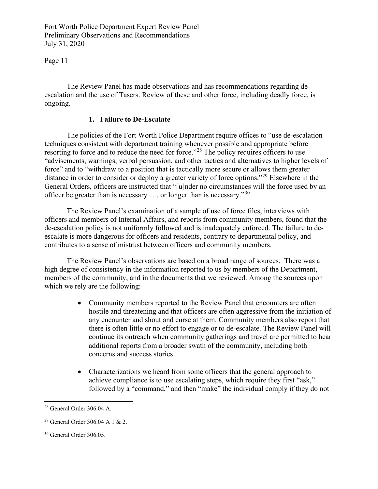Page 11

The Review Panel has made observations and has recommendations regarding deescalation and the use of Tasers. Review of these and other force, including deadly force, is ongoing.

#### **1. Failure to De-Escalate**

The policies of the Fort Worth Police Department require offices to "use de-escalation techniques consistent with department training whenever possible and appropriate before resorting to force and to reduce the need for force."<sup>[28](#page-10-0)</sup> The policy requires officers to use "advisements, warnings, verbal persuasion, and other tactics and alternatives to higher levels of force" and to "withdraw to a position that is tactically more secure or allows them greater distance in order to consider or deploy a greater variety of force options."<sup>[29](#page-10-1)</sup> Elsewhere in the General Orders, officers are instructed that "[u]nder no circumstances will the force used by an officer be greater than is necessary  $\ldots$  or longer than is necessary."<sup>[30](#page-10-2)</sup>

The Review Panel's examination of a sample of use of force files, interviews with officers and members of Internal Affairs, and reports from community members, found that the de-escalation policy is not uniformly followed and is inadequately enforced. The failure to deescalate is more dangerous for officers and residents, contrary to departmental policy, and contributes to a sense of mistrust between officers and community members.

The Review Panel's observations are based on a broad range of sources. There was a high degree of consistency in the information reported to us by members of the Department, members of the community, and in the documents that we reviewed. Among the sources upon which we rely are the following:

- Community members reported to the Review Panel that encounters are often hostile and threatening and that officers are often aggressive from the initiation of any encounter and shout and curse at them. Community members also report that there is often little or no effort to engage or to de-escalate. The Review Panel will continue its outreach when community gatherings and travel are permitted to hear additional reports from a broader swath of the community, including both concerns and success stories.
- Characterizations we heard from some officers that the general approach to achieve compliance is to use escalating steps, which require they first "ask," followed by a "command," and then "make" the individual comply if they do not

<span id="page-10-0"></span><sup>28</sup> General Order 306.04 A.

<span id="page-10-1"></span><sup>29</sup> General Order 306.04 A 1 & 2.

<span id="page-10-2"></span><sup>30</sup> General Order 306.05.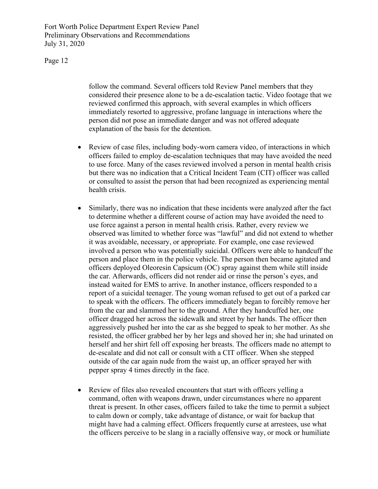Page 12

follow the command. Several officers told Review Panel members that they considered their presence alone to be a de-escalation tactic. Video footage that we reviewed confirmed this approach, with several examples in which officers immediately resorted to aggressive, profane language in interactions where the person did not pose an immediate danger and was not offered adequate explanation of the basis for the detention.

- Review of case files, including body-worn camera video, of interactions in which officers failed to employ de-escalation techniques that may have avoided the need to use force. Many of the cases reviewed involved a person in mental health crisis but there was no indication that a Critical Incident Team (CIT) officer was called or consulted to assist the person that had been recognized as experiencing mental health crisis.
- Similarly, there was no indication that these incidents were analyzed after the fact to determine whether a different course of action may have avoided the need to use force against a person in mental health crisis. Rather, every review we observed was limited to whether force was "lawful" and did not extend to whether it was avoidable, necessary, or appropriate. For example, one case reviewed involved a person who was potentially suicidal. Officers were able to handcuff the person and place them in the police vehicle. The person then became agitated and officers deployed Oleoresin Capsicum (OC) spray against them while still inside the car. Afterwards, officers did not render aid or rinse the person's eyes, and instead waited for EMS to arrive. In another instance, officers responded to a report of a suicidal teenager. The young woman refused to get out of a parked car to speak with the officers. The officers immediately began to forcibly remove her from the car and slammed her to the ground. After they handcuffed her, one officer dragged her across the sidewalk and street by her hands. The officer then aggressively pushed her into the car as she begged to speak to her mother. As she resisted, the officer grabbed her by her legs and shoved her in; she had urinated on herself and her shirt fell off exposing her breasts. The officers made no attempt to de-escalate and did not call or consult with a CIT officer. When she stepped outside of the car again nude from the waist up, an officer sprayed her with pepper spray 4 times directly in the face.
- Review of files also revealed encounters that start with officers yelling a command, often with weapons drawn, under circumstances where no apparent threat is present. In other cases, officers failed to take the time to permit a subject to calm down or comply, take advantage of distance, or wait for backup that might have had a calming effect. Officers frequently curse at arrestees, use what the officers perceive to be slang in a racially offensive way, or mock or humiliate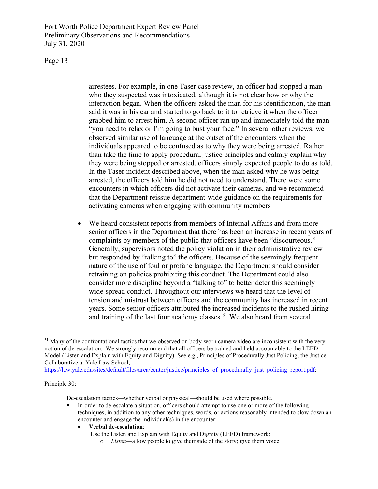Page 13

arrestees. For example, in one Taser case review, an officer had stopped a man who they suspected was intoxicated, although it is not clear how or why the interaction began. When the officers asked the man for his identification, the man said it was in his car and started to go back to it to retrieve it when the officer grabbed him to arrest him. A second officer ran up and immediately told the man "you need to relax or I'm going to bust your face." In several other reviews, we observed similar use of language at the outset of the encounters when the individuals appeared to be confused as to why they were being arrested. Rather than take the time to apply procedural justice principles and calmly explain why they were being stopped or arrested, officers simply expected people to do as told. In the Taser incident described above, when the man asked why he was being arrested, the officers told him he did not need to understand. There were some encounters in which officers did not activate their cameras, and we recommend that the Department reissue department-wide guidance on the requirements for activating cameras when engaging with community members

• We heard consistent reports from members of Internal Affairs and from more senior officers in the Department that there has been an increase in recent years of complaints by members of the public that officers have been "discourteous." Generally, supervisors noted the policy violation in their administrative review but responded by "talking to" the officers. Because of the seemingly frequent nature of the use of foul or profane language, the Department should consider retraining on policies prohibiting this conduct. The Department could also consider more discipline beyond a "talking to" to better deter this seemingly wide-spread conduct. Throughout our interviews we heard that the level of tension and mistrust between officers and the community has increased in recent years. Some senior officers attributed the increased incidents to the rushed hiring and training of the last four academy classes.<sup>[31](#page-12-0)</sup> We also heard from several

https://law.yale.edu/sites/default/files/area/center/justice/principles of procedurally just policing report.pdf:

#### Principle 30:

De-escalation tactics—whether verbal or physical—should be used where possible.

• **Verbal de-escalation**:

<span id="page-12-0"></span> $31$  Many of the confrontational tactics that we observed on body-worn camera video are inconsistent with the very notion of de-escalation. We strongly recommend that all officers be trained and held accountable to the LEED Model (Listen and Explain with Equity and Dignity). See e.g., Principles of Procedurally Just Policing, the Justice Collaborative at Yale Law School,

In order to de-escalate a situation, officers should attempt to use one or more of the following techniques, in addition to any other techniques, words, or actions reasonably intended to slow down an encounter and engage the individual(s) in the encounter:

Use the Listen and Explain with Equity and Dignity (LEED) framework:

o *Listen*—allow people to give their side of the story; give them voice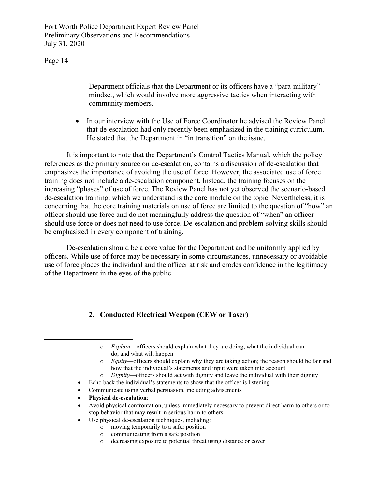Page 14

Department officials that the Department or its officers have a "para-military" mindset, which would involve more aggressive tactics when interacting with community members.

• In our interview with the Use of Force Coordinator he advised the Review Panel that de-escalation had only recently been emphasized in the training curriculum. He stated that the Department in "in transition" on the issue.

It is important to note that the Department's Control Tactics Manual, which the policy references as the primary source on de-escalation, contains a discussion of de-escalation that emphasizes the importance of avoiding the use of force. However, the associated use of force training does not include a de-escalation component. Instead, the training focuses on the increasing "phases" of use of force. The Review Panel has not yet observed the scenario-based de-escalation training, which we understand is the core module on the topic. Nevertheless, it is concerning that the core training materials on use of force are limited to the question of "how" an officer should use force and do not meaningfully address the question of "when" an officer should use force or does not need to use force. De-escalation and problem-solving skills should be emphasized in every component of training.

De-escalation should be a core value for the Department and be uniformly applied by officers. While use of force may be necessary in some circumstances, unnecessary or avoidable use of force places the individual and the officer at risk and erodes confidence in the legitimacy of the Department in the eyes of the public.

# **2. Conducted Electrical Weapon (CEW or Taser)**

- o *Equity*—officers should explain why they are taking action; the reason should be fair and how that the individual's statements and input were taken into account
- o *Dignity*—officers should act with dignity and leave the individual with their dignity
- Echo back the individual's statements to show that the officer is listening
- Communicate using verbal persuasion, including advisements
- **Physical de-escalation**:
- Avoid physical confrontation, unless immediately necessary to prevent direct harm to others or to stop behavior that may result in serious harm to others
- Use physical de-escalation techniques, including:
	- o moving temporarily to a safer position
	- o communicating from a safe position
	- o decreasing exposure to potential threat using distance or cover

o *Explain*—officers should explain what they are doing, what the individual can do, and what will happen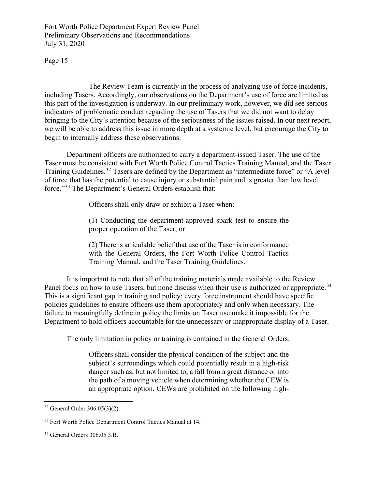Page 15

The Review Team is currently in the process of analyzing use of force incidents, including Tasers. Accordingly, our observations on the Department's use of force are limited as this part of the investigation is underway. In our preliminary work, however, we did see serious indicators of problematic conduct regarding the use of Tasers that we did not want to delay bringing to the City's attention because of the seriousness of the issues raised. In our next report, we will be able to address this issue in more depth at a systemic level, but encourage the City to begin to internally address these observations.

Department officers are authorized to carry a department-issued Taser. The use of the Taser must be consistent with Fort Worth Police Control Tactics Training Manual, and the Taser Training Guidelines.<sup>[32](#page-14-0)</sup> Tasers are defined by the Department as "intermediate force" or "A level of force that has the potential to cause injury or substantial pain and is greater than low level force."[33](#page-14-1) The Department's General Orders establish that:

Officers shall only draw or exhibit a Taser when:

(1) Conducting the department-approved spark test to ensure the proper operation of the Taser, or

(2) There is articulable belief that use of the Taser is in conformance with the General Orders, the Fort Worth Police Control Tactics Training Manual, and the Taser Training Guidelines.

It is important to note that all of the training materials made available to the Review Panel focus on how to use Tasers, but none discuss when their use is authorized or appropriate.<sup>[34](#page-14-2)</sup> This is a significant gap in training and policy; every force instrument should have specific policies guidelines to ensure officers use them appropriately and only when necessary. The failure to meaningfully define in policy the limits on Taser use make it impossible for the Department to hold officers accountable for the unnecessary or inappropriate display of a Taser.

The only limitation in policy or training is contained in the General Orders:

Officers shall consider the physical condition of the subject and the subject's surroundings which could potentially result in a high-risk danger such as, but not limited to, a fall from a great distance or into the path of a moving vehicle when determining whether the CEW is an appropriate option. CEWs are prohibited on the following high-

<span id="page-14-0"></span><sup>32</sup> General Order 306.05(3)(2).

<span id="page-14-1"></span><sup>&</sup>lt;sup>33</sup> Fort Worth Police Department Control Tactics Manual at 14.

<span id="page-14-2"></span><sup>34</sup> General Orders 306.05 3.B.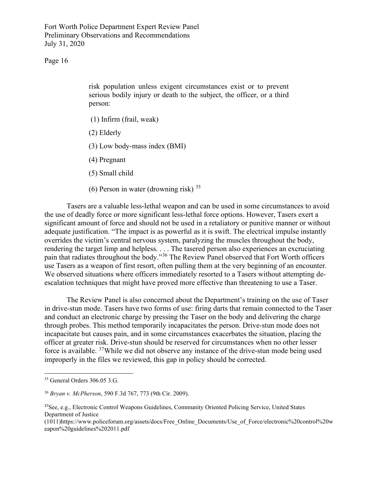Page 16

risk population unless exigent circumstances exist or to prevent serious bodily injury or death to the subject, the officer, or a third person:

- (1) Infirm (frail, weak)
- (2) Elderly
- (3) Low body-mass index (BMI)
- (4) Pregnant
- (5) Small child
- (6) Person in water (drowning risk)  $35$

Tasers are a valuable less-lethal weapon and can be used in some circumstances to avoid the use of deadly force or more significant less-lethal force options. However, Tasers exert a significant amount of force and should not be used in a retaliatory or punitive manner or without adequate justification. "The impact is as powerful as it is swift. The electrical impulse instantly overrides the victim's central nervous system, paralyzing the muscles throughout the body, rendering the target limp and helpless. . . . The tasered person also experiences an excruciating pain that radiates throughout the body."[36](#page-15-1) The Review Panel observed that Fort Worth officers use Tasers as a weapon of first resort, often pulling them at the very beginning of an encounter. We observed situations where officers immediately resorted to a Tasers without attempting deescalation techniques that might have proved more effective than threatening to use a Taser.

The Review Panel is also concerned about the Department's training on the use of Taser in drive-stun mode. Tasers have two forms of use: firing darts that remain connected to the Taser and conduct an electronic charge by pressing the Taser on the body and delivering the charge through probes. This method temporarily incapacitates the person. Drive-stun mode does not incapacitate but causes pain, and in some circumstances exacerbates the situation, placing the officer at greater risk. Drive-stun should be reserved for circumstances when no other lesser force is available. [37W](#page-15-2)hile we did not observe any instance of the drive-stun mode being used improperly in the files we reviewed, this gap in policy should be corrected.

<span id="page-15-0"></span><sup>35</sup> General Orders 306.05 3.G.

<span id="page-15-1"></span><sup>36</sup> *Bryan v. McPherson*, 590 F.3d 767, 773 (9th Cir. 2009).

<span id="page-15-2"></span><sup>37</sup>See, e.g., Electronic Control Weapons Guidelines, Community Oriented Policing Service, United States Department of Justice

<sup>(1011)</sup>https://www.policeforum.org/assets/docs/Free\_Online\_Documents/Use\_of\_Force/electronic%20control%20w eapon%20guidelines%202011.pdf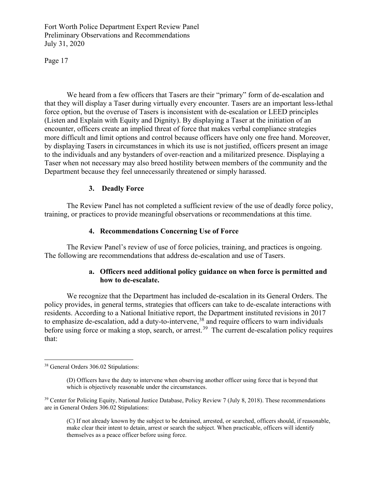Page 17

We heard from a few officers that Tasers are their "primary" form of de-escalation and that they will display a Taser during virtually every encounter. Tasers are an important less-lethal force option, but the overuse of Tasers is inconsistent with de-escalation or LEED principles (Listen and Explain with Equity and Dignity). By displaying a Taser at the initiation of an encounter, officers create an implied threat of force that makes verbal compliance strategies more difficult and limit options and control because officers have only one free hand. Moreover, by displaying Tasers in circumstances in which its use is not justified, officers present an image to the individuals and any bystanders of over-reaction and a militarized presence. Displaying a Taser when not necessary may also breed hostility between members of the community and the Department because they feel unnecessarily threatened or simply harassed.

# **3. Deadly Force**

The Review Panel has not completed a sufficient review of the use of deadly force policy, training, or practices to provide meaningful observations or recommendations at this time.

#### **4. Recommendations Concerning Use of Force**

The Review Panel's review of use of force policies, training, and practices is ongoing. The following are recommendations that address de-escalation and use of Tasers.

#### **a. Officers need additional policy guidance on when force is permitted and how to de-escalate.**

We recognize that the Department has included de-escalation in its General Orders. The policy provides, in general terms, strategies that officers can take to de-escalate interactions with residents. According to a National Initiative report, the Department instituted revisions in 2017 to emphasize de-escalation, add a duty-to-intervene,<sup>[38](#page-16-0)</sup> and require officers to warn individuals before using force or making a stop, search, or arrest.<sup>[39](#page-16-1)</sup> The current de-escalation policy requires that:

(C) If not already known by the subject to be detained, arrested, or searched, officers should, if reasonable, make clear their intent to detain, arrest or search the subject. When practicable, officers will identify themselves as a peace officer before using force.

<span id="page-16-0"></span><sup>38</sup> General Orders 306.02 Stipulations:

<sup>(</sup>D) Officers have the duty to intervene when observing another officer using force that is beyond that which is objectively reasonable under the circumstances.

<span id="page-16-1"></span><sup>&</sup>lt;sup>39</sup> Center for Policing Equity, National Justice Database, Policy Review 7 (July 8, 2018). These recommendations are in General Orders 306.02 Stipulations: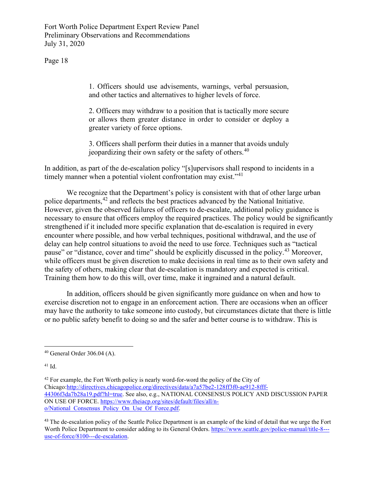Page 18

1. Officers should use advisements, warnings, verbal persuasion, and other tactics and alternatives to higher levels of force.

2. Officers may withdraw to a position that is tactically more secure or allows them greater distance in order to consider or deploy a greater variety of force options.

3. Officers shall perform their duties in a manner that avoids unduly jeopardizing their own safety or the safety of others.<sup>[40](#page-17-0)</sup>

In addition, as part of the de-escalation policy "[s]upervisors shall respond to incidents in a timely manner when a potential violent confrontation may exist."<sup>[41](#page-17-1)</sup>

We recognize that the Department's policy is consistent with that of other large urban police departments,[42](#page-17-2) and reflects the best practices advanced by the National Initiative. However, given the observed failures of officers to de-escalate, additional policy guidance is necessary to ensure that officers employ the required practices. The policy would be significantly strengthened if it included more specific explanation that de-escalation is required in every encounter where possible, and how verbal techniques, positional withdrawal, and the use of delay can help control situations to avoid the need to use force. Techniques such as "tactical pause" or "distance, cover and time" should be explicitly discussed in the policy.<sup>[43](#page-17-3)</sup> Moreover, while officers must be given discretion to make decisions in real time as to their own safety and the safety of others, making clear that de-escalation is mandatory and expected is critical. Training them how to do this will, over time, make it ingrained and a natural default.

 In addition, officers should be given significantly more guidance on when and how to exercise discretion not to engage in an enforcement action. There are occasions when an officer may have the authority to take someone into custody, but circumstances dictate that there is little or no public safety benefit to doing so and the safer and better course is to withdraw. This is

<span id="page-17-1"></span><sup>41</sup> Id.

<span id="page-17-2"></span> $42$  For example, the Fort Worth policy is nearly word-for-word the policy of the City of Chicago[:http://directives.chicagopolice.org/directives/data/a7a57be2-128ff3f0-ae912-8fff-](http://directives.chicagopolice.org/directives/data/a7a57be2-128ff3f0-ae912-8fff-44306f3da7b28a19.pdf?hl=true)[44306f3da7b28a19.pdf?hl=true.](http://directives.chicagopolice.org/directives/data/a7a57be2-128ff3f0-ae912-8fff-44306f3da7b28a19.pdf?hl=true) See also, e.g., NATIONAL CONSENSUS POLICY AND DISCUSSION PAPER ON USE OF FORCE. [https://www.theiacp.org/sites/default/files/all/n](https://www.theiacp.org/sites/default/files/all/n-o/National_Consensus_Policy_On_Use_Of_Force.pdf)[o/National\\_Consensus\\_Policy\\_On\\_Use\\_Of\\_Force.pdf.](https://www.theiacp.org/sites/default/files/all/n-o/National_Consensus_Policy_On_Use_Of_Force.pdf)

<span id="page-17-0"></span><sup>40</sup> General Order 306.04 (A).

<span id="page-17-3"></span><sup>&</sup>lt;sup>43</sup> The de-escalation policy of the Seattle Police Department is an example of the kind of detail that we urge the Fort Worth Police Department to consider adding to its General Orders. [https://www.seattle.gov/police-manual/title-8--](https://www.seattle.gov/police-manual/title-8---use-of-force/8100---de-escalation) [use-of-force/8100---de-escalation.](https://www.seattle.gov/police-manual/title-8---use-of-force/8100---de-escalation)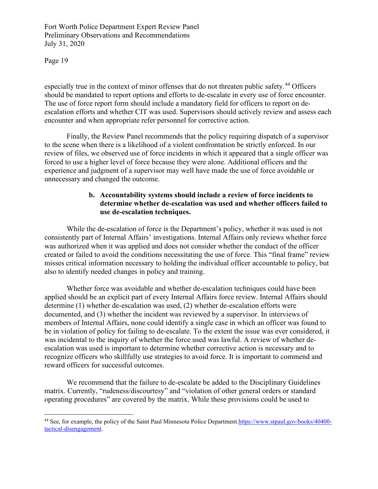Page 19

especially true in the context of minor offenses that do not threaten public safety.<sup>[44](#page-18-0)</sup> Officers should be mandated to report options and efforts to de-escalate in every use of force encounter. The use of force report form should include a mandatory field for officers to report on deescalation efforts and whether CIT was used. Supervisors should actively review and assess each encounter and when appropriate refer personnel for corrective action.

 Finally, the Review Panel recommends that the policy requiring dispatch of a supervisor to the scene when there is a likelihood of a violent confrontation be strictly enforced. In our review of files, we observed use of force incidents in which it appeared that a single officer was forced to use a higher level of force because they were alone. Additional officers and the experience and judgment of a supervisor may well have made the use of force avoidable or unnecessary and changed the outcome.

#### **b. Accountability systems should include a review of force incidents to determine whether de-escalation was used and whether officers failed to use de-escalation techniques.**

While the de-escalation of force is the Department's policy, whether it was used is not consistently part of Internal Affairs' investigations. Internal Affairs only reviews whether force was authorized when it was applied and does not consider whether the conduct of the officer created or failed to avoid the conditions necessitating the use of force. This "final frame" review misses critical information necessary to holding the individual officer accountable to policy, but also to identify needed changes in policy and training.

Whether force was avoidable and whether de-escalation techniques could have been applied should be an explicit part of every Internal Affairs force review. Internal Affairs should determine (1) whether de-escalation was used, (2) whether de-escalation efforts were documented, and (3) whether the incident was reviewed by a supervisor. In interviews of members of Internal Affairs, none could identify a single case in which an officer was found to be in violation of policy for failing to de-escalate. To the extent the issue was ever considered, it was incidental to the inquiry of whether the force used was lawful. A review of whether deescalation was used is important to determine whether corrective action is necessary and to recognize officers who skillfully use strategies to avoid force. It is important to commend and reward officers for successful outcomes.

We recommend that the failure to de-escalate be added to the Disciplinary Guidelines matrix. Currently, "rudeness/discourtesy" and "violation of other general orders or standard operating procedures" are covered by the matrix. While these provisions could be used to

<span id="page-18-0"></span><sup>&</sup>lt;sup>44</sup> See, for example, the policy of the Saint Paul Minnesota Police Departmen[t.https://www.stpaul.gov/books/40400](https://www.stpaul.gov/books/40400-tactical-disengagement) [tactical-disengagement.](https://www.stpaul.gov/books/40400-tactical-disengagement)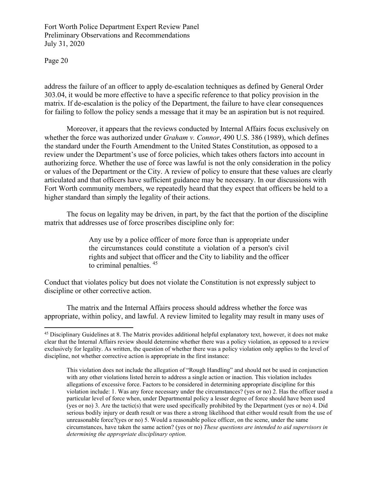Page 20

address the failure of an officer to apply de-escalation techniques as defined by General Order 303.04, it would be more effective to have a specific reference to that policy provision in the matrix. If de-escalation is the policy of the Department, the failure to have clear consequences for failing to follow the policy sends a message that it may be an aspiration but is not required.

Moreover, it appears that the reviews conducted by Internal Affairs focus exclusively on whether the force was authorized under *Graham v. Connor*, 490 U.S. 386 (1989), which defines the standard under the Fourth Amendment to the United States Constitution, as opposed to a review under the Department's use of force policies, which takes others factors into account in authorizing force. Whether the use of force was lawful is not the only consideration in the policy or values of the Department or the City. A review of policy to ensure that these values are clearly articulated and that officers have sufficient guidance may be necessary. In our discussions with Fort Worth community members, we repeatedly heard that they expect that officers be held to a higher standard than simply the legality of their actions.

 The focus on legality may be driven, in part, by the fact that the portion of the discipline matrix that addresses use of force proscribes discipline only for:

> Any use by a police officer of more force than is appropriate under the circumstances could constitute a violation of a person's civil rights and subject that officer and the City to liability and the officer to criminal penalties. [45](#page-19-0)

Conduct that violates policy but does not violate the Constitution is not expressly subject to discipline or other corrective action.

 The matrix and the Internal Affairs process should address whether the force was appropriate, within policy, and lawful. A review limited to legality may result in many uses of

<span id="page-19-0"></span><sup>&</sup>lt;sup>45</sup> Disciplinary Guidelines at 8. The Matrix provides additional helpful explanatory text, however, it does not make clear that the Internal Affairs review should determine whether there was a policy violation, as opposed to a review exclusively for legality. As written, the question of whether there was a policy violation only applies to the level of discipline, not whether corrective action is appropriate in the first instance:

This violation does not include the allegation of "Rough Handling" and should not be used in conjunction with any other violations listed herein to address a single action or inaction. This violation includes allegations of excessive force. Factors to be considered in determining appropriate discipline for this violation include: 1. Was any force necessary under the circumstances? (yes or no) 2. Has the officer used a particular level of force when, under Departmental policy a lesser degree of force should have been used (yes or no) 3. Are the tactic(s) that were used specifically prohibited by the Department (yes or no) 4. Did serious bodily injury or death result or was there a strong likelihood that either would result from the use of unreasonable force?(yes or no) 5. Would a reasonable police officer, on the scene, under the same circumstances, have taken the same action? (yes or no) *These questions are intended to aid supervisors in determining the appropriate disciplinary option.*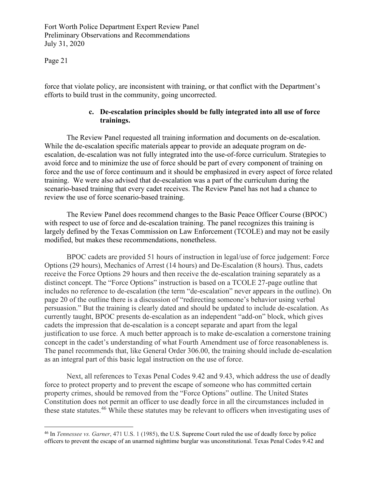Page 21

force that violate policy, are inconsistent with training, or that conflict with the Department's efforts to build trust in the community, going uncorrected.

#### **c. De-escalation principles should be fully integrated into all use of force trainings.**

The Review Panel requested all training information and documents on de-escalation. While the de-escalation specific materials appear to provide an adequate program on deescalation, de-escalation was not fully integrated into the use-of-force curriculum. Strategies to avoid force and to minimize the use of force should be part of every component of training on force and the use of force continuum and it should be emphasized in every aspect of force related training. We were also advised that de-escalation was a part of the curriculum during the scenario-based training that every cadet receives. The Review Panel has not had a chance to review the use of force scenario-based training.

The Review Panel does recommend changes to the Basic Peace Officer Course (BPOC) with respect to use of force and de-escalation training. The panel recognizes this training is largely defined by the Texas Commission on Law Enforcement (TCOLE) and may not be easily modified, but makes these recommendations, nonetheless.

BPOC cadets are provided 51 hours of instruction in legal/use of force judgement: Force Options (29 hours), Mechanics of Arrest (14 hours) and De-Escalation (8 hours). Thus, cadets receive the Force Options 29 hours and then receive the de-escalation training separately as a distinct concept. The "Force Options" instruction is based on a TCOLE 27-page outline that includes no reference to de-escalation (the term "de-escalation" never appears in the outline). On page 20 of the outline there is a discussion of "redirecting someone's behavior using verbal persuasion." But the training is clearly dated and should be updated to include de-escalation. As currently taught, BPOC presents de-escalation as an independent "add-on" block, which gives cadets the impression that de-escalation is a concept separate and apart from the legal justification to use force. A much better approach is to make de-escalation a cornerstone training concept in the cadet's understanding of what Fourth Amendment use of force reasonableness is. The panel recommends that, like General Order 306.00, the training should include de-escalation as an integral part of this basic legal instruction on the use of force.

 Next, all references to Texas Penal Codes 9.42 and 9.43, which address the use of deadly force to protect property and to prevent the escape of someone who has committed certain property crimes, should be removed from the "Force Options" outline. The United States Constitution does not permit an officer to use deadly force in all the circumstances included in these state statutes.<sup>[46](#page-20-0)</sup> While these statutes may be relevant to officers when investigating uses of

<span id="page-20-0"></span><sup>46</sup> In *Tennessee vs. Garner*, 471 U.S. 1 (1985), the U.S. Supreme Court ruled the use of deadly force by police officers to prevent the escape of an unarmed nighttime burglar was unconstitutional. Texas Penal Codes 9.42 and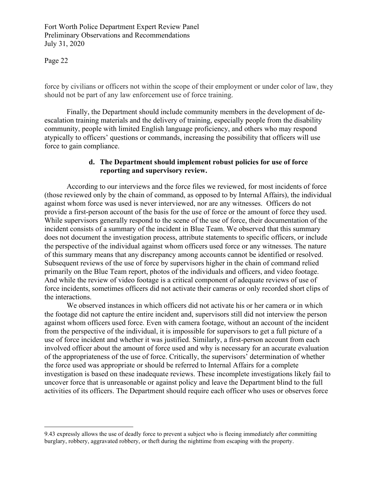Page 22

force by civilians or officers not within the scope of their employment or under color of law, they should not be part of any law enforcement use of force training.

Finally, the Department should include community members in the development of deescalation training materials and the delivery of training, especially people from the disability community, people with limited English language proficiency, and others who may respond atypically to officers' questions or commands, increasing the possibility that officers will use force to gain compliance.

#### **d. The Department should implement robust policies for use of force reporting and supervisory review.**

According to our interviews and the force files we reviewed, for most incidents of force (those reviewed only by the chain of command, as opposed to by Internal Affairs), the individual against whom force was used is never interviewed, nor are any witnesses. Officers do not provide a first-person account of the basis for the use of force or the amount of force they used. While supervisors generally respond to the scene of the use of force, their documentation of the incident consists of a summary of the incident in Blue Team. We observed that this summary does not document the investigation process, attribute statements to specific officers, or include the perspective of the individual against whom officers used force or any witnesses. The nature of this summary means that any discrepancy among accounts cannot be identified or resolved. Subsequent reviews of the use of force by supervisors higher in the chain of command relied primarily on the Blue Team report, photos of the individuals and officers, and video footage. And while the review of video footage is a critical component of adequate reviews of use of force incidents, sometimes officers did not activate their cameras or only recorded short clips of the interactions.

We observed instances in which officers did not activate his or her camera or in which the footage did not capture the entire incident and, supervisors still did not interview the person against whom officers used force. Even with camera footage, without an account of the incident from the perspective of the individual, it is impossible for supervisors to get a full picture of a use of force incident and whether it was justified. Similarly, a first-person account from each involved officer about the amount of force used and why is necessary for an accurate evaluation of the appropriateness of the use of force. Critically, the supervisors' determination of whether the force used was appropriate or should be referred to Internal Affairs for a complete investigation is based on these inadequate reviews. These incomplete investigations likely fail to uncover force that is unreasonable or against policy and leave the Department blind to the full activities of its officers. The Department should require each officer who uses or observes force

<sup>9.43</sup> expressly allows the use of deadly force to prevent a subject who is fleeing immediately after committing burglary, robbery, aggravated robbery, or theft during the nighttime from escaping with the property.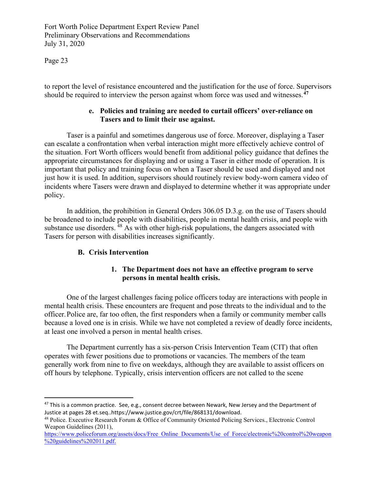Page 23

to report the level of resistance encountered and the justification for the use of force. Supervisors should be required to interview the person against whom force was used and witnesses.**[47](#page-22-0)**

# **e. Policies and training are needed to curtail officers' over-reliance on Tasers and to limit their use against.**

Taser is a painful and sometimes dangerous use of force. Moreover, displaying a Taser can escalate a confrontation when verbal interaction might more effectively achieve control of the situation. Fort Worth officers would benefit from additional policy guidance that defines the appropriate circumstances for displaying and or using a Taser in either mode of operation. It is important that policy and training focus on when a Taser should be used and displayed and not just how it is used. In addition, supervisors should routinely review body-worn camera video of incidents where Tasers were drawn and displayed to determine whether it was appropriate under policy.

 In addition, the prohibition in General Orders 306.05 D.3.g. on the use of Tasers should be broadened to include people with disabilities, people in mental health crisis, and people with substance use disorders.  $^{48}$  $^{48}$  $^{48}$  As with other high-risk populations, the dangers associated with Tasers for person with disabilities increases significantly.

# **B. Crisis Intervention**

# **1. The Department does not have an effective program to serve persons in mental health crisis.**

 One of the largest challenges facing police officers today are interactions with people in mental health crisis. These encounters are frequent and pose threats to the individual and to the officer. Police are, far too often, the first responders when a family or community member calls because a loved one is in crisis. While we have not completed a review of deadly force incidents, at least one involved a person in mental health crises.

The Department currently has a six-person Crisis Intervention Team (CIT) that often operates with fewer positions due to promotions or vacancies. The members of the team generally work from nine to five on weekdays, although they are available to assist officers on off hours by telephone. Typically, crisis intervention officers are not called to the scene

<span id="page-22-0"></span><sup>&</sup>lt;sup>47</sup> This is a common practice. See, e.g., consent decree between Newark, New Jersey and the Department of Justice at pages 28 et.seq..https://www.justice.gov/crt/file/868131/download.

<span id="page-22-1"></span><sup>48</sup> Police. Executive Research Forum & Office of Community Oriented Policing Services., Electronic Control Weapon Guidelines (2011),

[https://www.policeforum.org/assets/docs/Free\\_Online\\_Documents/Use\\_of\\_Force/electronic%20control%20weapon](https://www.policeforum.org/assets/docs/Free_Online_Documents/Use_of_Force/electronic%20control%20weapon%20guidelines%202011.pdf) [%20guidelines%202011.pdf.](https://www.policeforum.org/assets/docs/Free_Online_Documents/Use_of_Force/electronic%20control%20weapon%20guidelines%202011.pdf)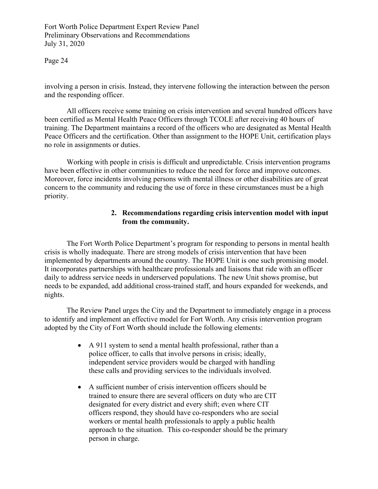Page 24

involving a person in crisis. Instead, they intervene following the interaction between the person and the responding officer.

All officers receive some training on crisis intervention and several hundred officers have been certified as Mental Health Peace Officers through TCOLE after receiving 40 hours of training. The Department maintains a record of the officers who are designated as Mental Health Peace Officers and the certification. Other than assignment to the HOPE Unit, certification plays no role in assignments or duties.

Working with people in crisis is difficult and unpredictable. Crisis intervention programs have been effective in other communities to reduce the need for force and improve outcomes. Moreover, force incidents involving persons with mental illness or other disabilities are of great concern to the community and reducing the use of force in these circumstances must be a high priority.

# **2. Recommendations regarding crisis intervention model with input from the community.**

The Fort Worth Police Department's program for responding to persons in mental health crisis is wholly inadequate. There are strong models of crisis intervention that have been implemented by departments around the country. The HOPE Unit is one such promising model. It incorporates partnerships with healthcare professionals and liaisons that ride with an officer daily to address service needs in underserved populations. The new Unit shows promise, but needs to be expanded, add additional cross-trained staff, and hours expanded for weekends, and nights.

The Review Panel urges the City and the Department to immediately engage in a process to identify and implement an effective model for Fort Worth. Any crisis intervention program adopted by the City of Fort Worth should include the following elements:

- A 911 system to send a mental health professional, rather than a police officer, to calls that involve persons in crisis; ideally, independent service providers would be charged with handling these calls and providing services to the individuals involved.
- A sufficient number of crisis intervention officers should be trained to ensure there are several officers on duty who are CIT designated for every district and every shift; even where CIT officers respond, they should have co-responders who are social workers or mental health professionals to apply a public health approach to the situation. This co-responder should be the primary person in charge.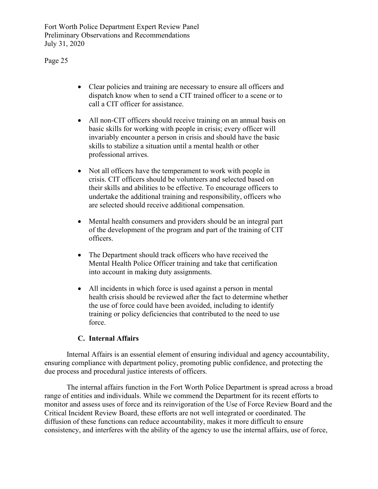Page 25

- Clear policies and training are necessary to ensure all officers and dispatch know when to send a CIT trained officer to a scene or to call a CIT officer for assistance.
- All non-CIT officers should receive training on an annual basis on basic skills for working with people in crisis; every officer will invariably encounter a person in crisis and should have the basic skills to stabilize a situation until a mental health or other professional arrives.
- Not all officers have the temperament to work with people in crisis. CIT officers should be volunteers and selected based on their skills and abilities to be effective. To encourage officers to undertake the additional training and responsibility, officers who are selected should receive additional compensation.
- Mental health consumers and providers should be an integral part of the development of the program and part of the training of CIT officers.
- The Department should track officers who have received the Mental Health Police Officer training and take that certification into account in making duty assignments.
- All incidents in which force is used against a person in mental health crisis should be reviewed after the fact to determine whether the use of force could have been avoided, including to identify training or policy deficiencies that contributed to the need to use force.

# **C. Internal Affairs**

Internal Affairs is an essential element of ensuring individual and agency accountability, ensuring compliance with department policy, promoting public confidence, and protecting the due process and procedural justice interests of officers.

The internal affairs function in the Fort Worth Police Department is spread across a broad range of entities and individuals. While we commend the Department for its recent efforts to monitor and assess uses of force and its reinvigoration of the Use of Force Review Board and the Critical Incident Review Board, these efforts are not well integrated or coordinated. The diffusion of these functions can reduce accountability, makes it more difficult to ensure consistency, and interferes with the ability of the agency to use the internal affairs, use of force,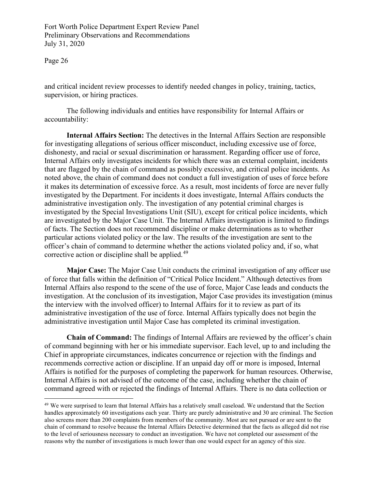Page 26

and critical incident review processes to identify needed changes in policy, training, tactics, supervision, or hiring practices.

The following individuals and entities have responsibility for Internal Affairs or accountability:

**Internal Affairs Section:** The detectives in the Internal Affairs Section are responsible for investigating allegations of serious officer misconduct, including excessive use of force, dishonesty, and racial or sexual discrimination or harassment. Regarding officer use of force, Internal Affairs only investigates incidents for which there was an external complaint, incidents that are flagged by the chain of command as possibly excessive, and critical police incidents. As noted above, the chain of command does not conduct a full investigation of uses of force before it makes its determination of excessive force. As a result, most incidents of force are never fully investigated by the Department. For incidents it does investigate, Internal Affairs conducts the administrative investigation only. The investigation of any potential criminal charges is investigated by the Special Investigations Unit (SIU), except for critical police incidents, which are investigated by the Major Case Unit. The Internal Affairs investigation is limited to findings of facts. The Section does not recommend discipline or make determinations as to whether particular actions violated policy or the law. The results of the investigation are sent to the officer's chain of command to determine whether the actions violated policy and, if so, what corrective action or discipline shall be applied.<sup>[49](#page-25-0)</sup>

**Major Case:** The Major Case Unit conducts the criminal investigation of any officer use of force that falls within the definition of "Critical Police Incident." Although detectives from Internal Affairs also respond to the scene of the use of force, Major Case leads and conducts the investigation. At the conclusion of its investigation, Major Case provides its investigation (minus the interview with the involved officer) to Internal Affairs for it to review as part of its administrative investigation of the use of force. Internal Affairs typically does not begin the administrative investigation until Major Case has completed its criminal investigation.

**Chain of Command:** The findings of Internal Affairs are reviewed by the officer's chain of command beginning with her or his immediate supervisor. Each level, up to and including the Chief in appropriate circumstances, indicates concurrence or rejection with the findings and recommends corrective action or discipline. If an unpaid day off or more is imposed, Internal Affairs is notified for the purposes of completing the paperwork for human resources. Otherwise, Internal Affairs is not advised of the outcome of the case, including whether the chain of command agreed with or rejected the findings of Internal Affairs. There is no data collection or

<span id="page-25-0"></span><sup>&</sup>lt;sup>49</sup> We were surprised to learn that Internal Affairs has a relatively small caseload. We understand that the Section handles approximately 60 investigations each year. Thirty are purely administrative and 30 are criminal. The Section also screens more than 200 complaints from members of the community. Most are not pursued or are sent to the chain of command to resolve because the Internal Affairs Detective determined that the facts as alleged did not rise to the level of seriousness necessary to conduct an investigation. We have not completed our assessment of the reasons why the number of investigations is much lower than one would expect for an agency of this size.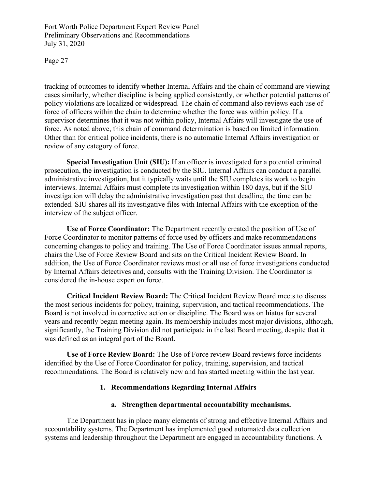Page 27

tracking of outcomes to identify whether Internal Affairs and the chain of command are viewing cases similarly, whether discipline is being applied consistently, or whether potential patterns of policy violations are localized or widespread. The chain of command also reviews each use of force of officers within the chain to determine whether the force was within policy. If a supervisor determines that it was not within policy, Internal Affairs will investigate the use of force. As noted above, this chain of command determination is based on limited information. Other than for critical police incidents, there is no automatic Internal Affairs investigation or review of any category of force.

**Special Investigation Unit (SIU):** If an officer is investigated for a potential criminal prosecution, the investigation is conducted by the SIU. Internal Affairs can conduct a parallel administrative investigation, but it typically waits until the SIU completes its work to begin interviews. Internal Affairs must complete its investigation within 180 days, but if the SIU investigation will delay the administrative investigation past that deadline, the time can be extended. SIU shares all its investigative files with Internal Affairs with the exception of the interview of the subject officer.

**Use of Force Coordinator:** The Department recently created the position of Use of Force Coordinator to monitor patterns of force used by officers and make recommendations concerning changes to policy and training. The Use of Force Coordinator issues annual reports, chairs the Use of Force Review Board and sits on the Critical Incident Review Board. In addition, the Use of Force Coordinator reviews most or all use of force investigations conducted by Internal Affairs detectives and, consults with the Training Division. The Coordinator is considered the in-house expert on force.

**Critical Incident Review Board:** The Critical Incident Review Board meets to discuss the most serious incidents for policy, training, supervision, and tactical recommendations. The Board is not involved in corrective action or discipline. The Board was on hiatus for several years and recently began meeting again. Its membership includes most major divisions, although, significantly, the Training Division did not participate in the last Board meeting, despite that it was defined as an integral part of the Board.

**Use of Force Review Board:** The Use of Force review Board reviews force incidents identified by the Use of Force Coordinator for policy, training, supervision, and tactical recommendations. The Board is relatively new and has started meeting within the last year.

#### **1. Recommendations Regarding Internal Affairs**

#### **a. Strengthen departmental accountability mechanisms.**

The Department has in place many elements of strong and effective Internal Affairs and accountability systems. The Department has implemented good automated data collection systems and leadership throughout the Department are engaged in accountability functions. A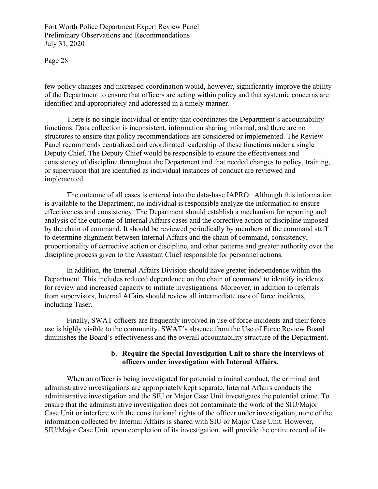Page 28

few policy changes and increased coordination would, however, significantly improve the ability of the Department to ensure that officers are acting within policy and that systemic concerns are identified and appropriately and addressed in a timely manner.

There is no single individual or entity that coordinates the Department's accountability functions. Data collection is inconsistent, information sharing informal, and there are no structures to ensure that policy recommendations are considered or implemented. The Review Panel recommends centralized and coordinated leadership of these functions under a single Deputy Chief. The Deputy Chief would be responsible to ensure the effectiveness and consistency of discipline throughout the Department and that needed changes to policy, training, or supervision that are identified as individual instances of conduct are reviewed and implemented.

The outcome of all cases is entered into the data-base IAPRO. Although this information is available to the Department, no individual is responsible analyze the information to ensure effectiveness and consistency. The Department should establish a mechanism for reporting and analysis of the outcome of Internal Affairs cases and the corrective action or discipline imposed by the chain of command. It should be reviewed periodically by members of the command staff to determine alignment between Internal Affairs and the chain of command, consistency, proportionality of corrective action or discipline, and other patterns and greater authority over the discipline process given to the Assistant Chief responsible for personnel actions.

In addition, the Internal Affairs Division should have greater independence within the Department. This includes reduced dependence on the chain of command to identify incidents for review and increased capacity to initiate investigations. Moreover, in addition to referrals from supervisors, Internal Affairs should review all intermediate uses of force incidents, including Taser.

Finally, SWAT officers are frequently involved in use of force incidents and their force use is highly visible to the community. SWAT's absence from the Use of Force Review Board diminishes the Board's effectiveness and the overall accountability structure of the Department.

# **b. Require the Special Investigation Unit to share the interviews of officers under investigation with Internal Affairs.**

When an officer is being investigated for potential criminal conduct, the criminal and administrative investigations are appropriately kept separate. Internal Affairs conducts the administrative investigation and the SIU or Major Case Unit investigates the potential crime. To ensure that the administrative investigation does not contaminate the work of the SIU/Major Case Unit or interfere with the constitutional rights of the officer under investigation, none of the information collected by Internal Affairs is shared with SIU or Major Case Unit. However, SIU/Major Case Unit, upon completion of its investigation, will provide the entire record of its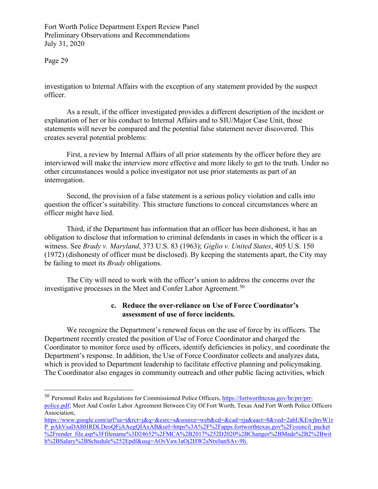Page 29

investigation to Internal Affairs with the exception of any statement provided by the suspect officer.

As a result, if the officer investigated provides a different description of the incident or explanation of her or his conduct to Internal Affairs and to SIU/Major Case Unit, those statements will never be compared and the potential false statement never discovered. This creates several potential problems:

First, a review by Internal Affairs of all prior statements by the officer before they are interviewed will make the interview more effective and more likely to get to the truth. Under no other circumstances would a police investigator not use prior statements as part of an interrogation.

Second, the provision of a false statement is a serious policy violation and calls into question the officer's suitability. This structure functions to conceal circumstances where an officer might have lied.

Third, if the Department has information that an officer has been dishonest, it has an obligation to disclose that information to criminal defendants in cases in which the officer is a witness. See *Brady v. Maryland*, 373 U.S. 83 (1963); *Giglio v. United States*, 405 U.S. 150 (1972) (dishonesty of officer must be disclosed). By keeping the statements apart, the City may be failing to meet its *Brady* obligations.

The City will need to work with the officer's union to address the concerns over the investigative processes in the Meet and Confer Labor Agreement.<sup>[50](#page-28-0)</sup>

# **c. Reduce the over-reliance on Use of Force Coordinator's assessment of use of force incidents.**

We recognize the Department's renewed focus on the use of force by its officers. The Department recently created the position of Use of Force Coordinator and charged the Coordinator to monitor force used by officers, identify deficiencies in policy, and coordinate the Department's response. In addition, the Use of Force Coordinator collects and analyzes data, which is provided to Department leadership to facilitate effective planning and policymaking. The Coordinator also engages in community outreach and other public facing activities, which

<span id="page-28-0"></span><sup>&</sup>lt;sup>50</sup> Personnel Rules and Regulations for Commissioned Police Officers[, https://fortworthtexas.gov/hr/prr/prr](https://fortworthtexas.gov/hr/prr/prr-police.pdf)[police.pdf;](https://fortworthtexas.gov/hr/prr/prr-police.pdf) Meet And Confer Labor Agreement Between City Of Fort Worth, Texas And Fort Worth Police Officers Association,

[https://www.google.com/url?sa=t&rct=j&q=&esrc=s&source=web&cd=&cad=rja&uact=8&ved=2ahUKEwjlnvW1r](https://www.google.com/url?sa=t&rct=j&q=&esrc=s&source=web&cd=&cad=rja&uact=8&ved=2ahUKEwjlnvW1rP_pAhVsaDABHRDLDeoQFjAAegQIAxAB&url=https%3A%2F%2Fapps.fortworthtexas.gov%2Fcouncil_packet%2Frender_file.asp%3Ffilename%3D24652%2FMCA%2B2017%252D2020%2BChanges%2BMade%2B2%2Bwith%2BSalary%2BSchedule%252Epdf&usg=AOvVaw3aOj2HW2sNtx0anSAv-9li) P\_pAhVsaDABHRDLDeoOFjAAegOIAxAB&url=https%3A%2F%2Fapps.fortworthtexas.gov%2Fcouncil\_packet [%2Frender\\_file.asp%3Ffilename%3D24652%2FMCA%2B2017%252D2020%2BChanges%2BMade%2B2%2Bwit](https://www.google.com/url?sa=t&rct=j&q=&esrc=s&source=web&cd=&cad=rja&uact=8&ved=2ahUKEwjlnvW1rP_pAhVsaDABHRDLDeoQFjAAegQIAxAB&url=https%3A%2F%2Fapps.fortworthtexas.gov%2Fcouncil_packet%2Frender_file.asp%3Ffilename%3D24652%2FMCA%2B2017%252D2020%2BChanges%2BMade%2B2%2Bwith%2BSalary%2BSchedule%252Epdf&usg=AOvVaw3aOj2HW2sNtx0anSAv-9li) [h%2BSalary%2BSchedule%252Epdf&usg=AOvVaw3aOj2HW2sNtx0anSAv-9li.](https://www.google.com/url?sa=t&rct=j&q=&esrc=s&source=web&cd=&cad=rja&uact=8&ved=2ahUKEwjlnvW1rP_pAhVsaDABHRDLDeoQFjAAegQIAxAB&url=https%3A%2F%2Fapps.fortworthtexas.gov%2Fcouncil_packet%2Frender_file.asp%3Ffilename%3D24652%2FMCA%2B2017%252D2020%2BChanges%2BMade%2B2%2Bwith%2BSalary%2BSchedule%252Epdf&usg=AOvVaw3aOj2HW2sNtx0anSAv-9li)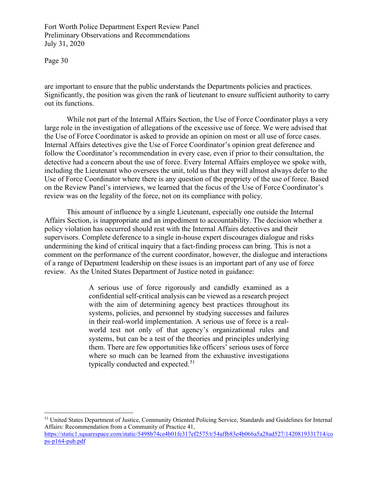Page 30

[ps-p164-pub.pdf](https://static1.squarespace.com/static/5498b74ce4b01fe317ef2575/t/54affb83e4b066a5a28ad527/1420819331714/cops-p164-pub.pdf)

are important to ensure that the public understands the Departments policies and practices. Significantly, the position was given the rank of lieutenant to ensure sufficient authority to carry out its functions.

While not part of the Internal Affairs Section, the Use of Force Coordinator plays a very large role in the investigation of allegations of the excessive use of force. We were advised that the Use of Force Coordinator is asked to provide an opinion on most or all use of force cases. Internal Affairs detectives give the Use of Force Coordinator's opinion great deference and follow the Coordinator's recommendation in every case, even if prior to their consultation, the detective had a concern about the use of force. Every Internal Affairs employee we spoke with, including the Lieutenant who oversees the unit, told us that they will almost always defer to the Use of Force Coordinator where there is any question of the propriety of the use of force. Based on the Review Panel's interviews, we learned that the focus of the Use of Force Coordinator's review was on the legality of the force, not on its compliance with policy.

This amount of influence by a single Lieutenant, especially one outside the Internal Affairs Section, is inappropriate and an impediment to accountability. The decision whether a policy violation has occurred should rest with the Internal Affairs detectives and their supervisors. Complete deference to a single in-house expert discourages dialogue and risks undermining the kind of critical inquiry that a fact-finding process can bring. This is not a comment on the performance of the current coordinator, however, the dialogue and interactions of a range of Department leadership on these issues is an important part of any use of force review. As the United States Department of Justice noted in guidance:

> A serious use of force rigorously and candidly examined as a confidential self-critical analysis can be viewed as a research project with the aim of determining agency best practices throughout its systems, policies, and personnel by studying successes and failures in their real-world implementation. A serious use of force is a realworld test not only of that agency's organizational rules and systems, but can be a test of the theories and principles underlying them. There are few opportunities like officers' serious uses of force where so much can be learned from the exhaustive investigations typically conducted and expected.<sup>51</sup>

<span id="page-29-0"></span><sup>51</sup> United States Department of Justice, Community Oriented Policing Service, Standards and Guidelines for Internal Affairs: Recommendation from a Community of Practice 41, [https://static1.squarespace.com/static/5498b74ce4b01fe317ef2575/t/54affb83e4b066a5a28ad527/1420819331714/co](https://static1.squarespace.com/static/5498b74ce4b01fe317ef2575/t/54affb83e4b066a5a28ad527/1420819331714/cops-p164-pub.pdf)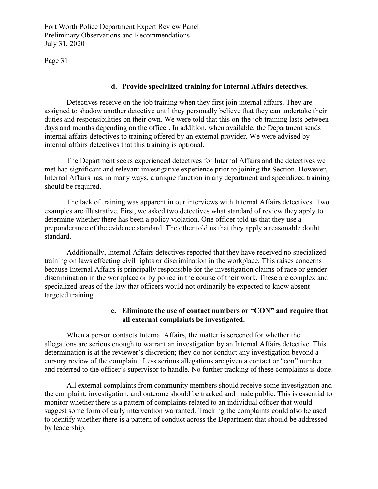Page 31

# **d. Provide specialized training for Internal Affairs detectives.**

Detectives receive on the job training when they first join internal affairs. They are assigned to shadow another detective until they personally believe that they can undertake their duties and responsibilities on their own. We were told that this on-the-job training lasts between days and months depending on the officer. In addition, when available, the Department sends internal affairs detectives to training offered by an external provider. We were advised by internal affairs detectives that this training is optional.

The Department seeks experienced detectives for Internal Affairs and the detectives we met had significant and relevant investigative experience prior to joining the Section. However, Internal Affairs has, in many ways, a unique function in any department and specialized training should be required.

The lack of training was apparent in our interviews with Internal Affairs detectives. Two examples are illustrative. First, we asked two detectives what standard of review they apply to determine whether there has been a policy violation. One officer told us that they use a preponderance of the evidence standard. The other told us that they apply a reasonable doubt standard.

Additionally, Internal Affairs detectives reported that they have received no specialized training on laws effecting civil rights or discrimination in the workplace. This raises concerns because Internal Affairs is principally responsible for the investigation claims of race or gender discrimination in the workplace or by police in the course of their work. These are complex and specialized areas of the law that officers would not ordinarily be expected to know absent targeted training.

# **e. Eliminate the use of contact numbers or "CON" and require that all external complaints be investigated.**

When a person contacts Internal Affairs, the matter is screened for whether the allegations are serious enough to warrant an investigation by an Internal Affairs detective. This determination is at the reviewer's discretion; they do not conduct any investigation beyond a cursory review of the complaint. Less serious allegations are given a contact or "con" number and referred to the officer's supervisor to handle. No further tracking of these complaints is done.

All external complaints from community members should receive some investigation and the complaint, investigation, and outcome should be tracked and made public. This is essential to monitor whether there is a pattern of complaints related to an individual officer that would suggest some form of early intervention warranted. Tracking the complaints could also be used to identify whether there is a pattern of conduct across the Department that should be addressed by leadership.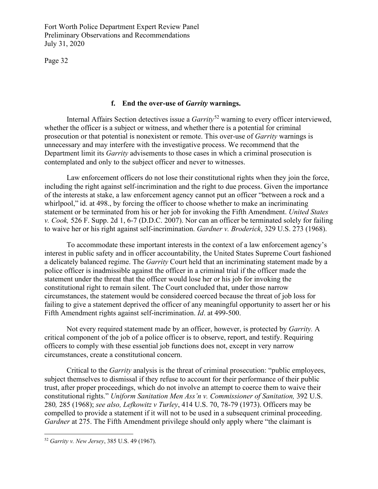Page 32

#### **f. End the over-use of** *Garrity* **warnings.**

Internal Affairs Section detectives issue a *Garrity*<sup>[52](#page-31-0)</sup> warning to every officer interviewed, whether the officer is a subject or witness, and whether there is a potential for criminal prosecution or that potential is nonexistent or remote. This over-use of *Garrity* warnings is unnecessary and may interfere with the investigative process. We recommend that the Department limit its *Garrity* advisements to those cases in which a criminal prosecution is contemplated and only to the subject officer and never to witnesses.

Law enforcement officers do not lose their constitutional rights when they join the force, including the right against self-incrimination and the right to due process. Given the importance of the interests at stake, a law enforcement agency cannot put an officer "between a rock and a whirlpool," id. at 498., by forcing the officer to choose whether to make an incriminating statement or be terminated from his or her job for invoking the Fifth Amendment. *United States v. Cook,* 526 F. Supp. 2d 1, 6-7 (D.D.C. 2007). Nor can an officer be terminated solely for failing to waive her or his right against self-incrimination. *Gardner v. Broderick*, 329 U.S. 273 (1968).

To accommodate these important interests in the context of a law enforcement agency's interest in public safety and in officer accountability, the United States Supreme Court fashioned a delicately balanced regime. The *Garrity* Court held that an incriminating statement made by a police officer is inadmissible against the officer in a criminal trial if the officer made the statement under the threat that the officer would lose her or his job for invoking the constitutional right to remain silent. The Court concluded that, under those narrow circumstances, the statement would be considered coerced because the threat of job loss for failing to give a statement deprived the officer of any meaningful opportunity to assert her or his Fifth Amendment rights against self-incrimination. *Id*. at 499-500.

Not every required statement made by an officer, however, is protected by *Garrity.* A critical component of the job of a police officer is to observe, report, and testify. Requiring officers to comply with these essential job functions does not, except in very narrow circumstances, create a constitutional concern.

Critical to the *Garrity* analysis is the threat of criminal prosecution: "public employees, subject themselves to dismissal if they refuse to account for their performance of their public trust, after proper proceedings, which do not involve an attempt to coerce them to waive their constitutional rights." *Uniform Sanitation Men Ass'n v. Commissioner of Sanitation,* 392 U.S. 280*,* 285 (1968); *see also, Lefkowitz v Turley*, 414 U.S. 70, 78-79 (1973). Officers may be compelled to provide a statement if it will not to be used in a subsequent criminal proceeding. *Gardner* at 275. The Fifth Amendment privilege should only apply where "the claimant is

<span id="page-31-0"></span><sup>52</sup> *Garrity v. New Jersey*, 385 U.S. 49 (1967).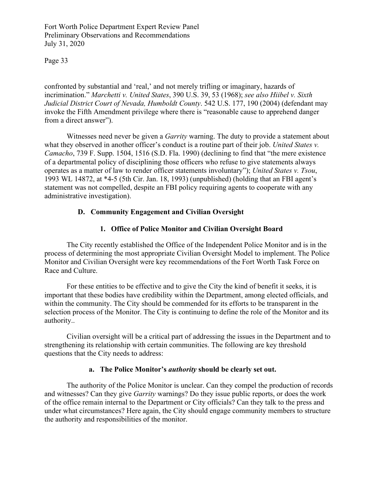Page 33

confronted by substantial and 'real,' and not merely trifling or imaginary, hazards of incrimination." *Marchetti v. United States*, 390 U.S. 39, 53 (1968); *see also Hiibel v. Sixth Judicial District Court of Nevada, Humboldt County*. 542 U.S. 177, 190 (2004) (defendant may invoke the Fifth Amendment privilege where there is "reasonable cause to apprehend danger from a direct answer").

Witnesses need never be given a *Garrity* warning. The duty to provide a statement about what they observed in another officer's conduct is a routine part of their job. *United States v. Camacho*, 739 F. Supp. 1504, 1516 (S.D. Fla. 1990) (declining to find that "the mere existence of a departmental policy of disciplining those officers who refuse to give statements always operates as a matter of law to render officer statements involuntary"); *United States v. Tsou*, 1993 WL 14872, at \*4-5 (5th Cir. Jan. 18, 1993) (unpublished) (holding that an FBI agent's statement was not compelled, despite an FBI policy requiring agents to cooperate with any administrative investigation).

# **D. Community Engagement and Civilian Oversight**

# **1. Office of Police Monitor and Civilian Oversight Board**

The City recently established the Office of the Independent Police Monitor and is in the process of determining the most appropriate Civilian Oversight Model to implement. The Police Monitor and Civilian Oversight were key recommendations of the Fort Worth Task Force on Race and Culture.

For these entities to be effective and to give the City the kind of benefit it seeks, it is important that these bodies have credibility within the Department, among elected officials, and within the community. The City should be commended for its efforts to be transparent in the selection process of the Monitor. The City is continuing to define the role of the Monitor and its authority..

Civilian oversight will be a critical part of addressing the issues in the Department and to strengthening its relationship with certain communities. The following are key threshold questions that the City needs to address:

# **a. The Police Monitor's** *authority* **should be clearly set out.**

The authority of the Police Monitor is unclear. Can they compel the production of records and witnesses? Can they give *Garrity* warnings? Do they issue public reports, or does the work of the office remain internal to the Department or City officials? Can they talk to the press and under what circumstances? Here again, the City should engage community members to structure the authority and responsibilities of the monitor.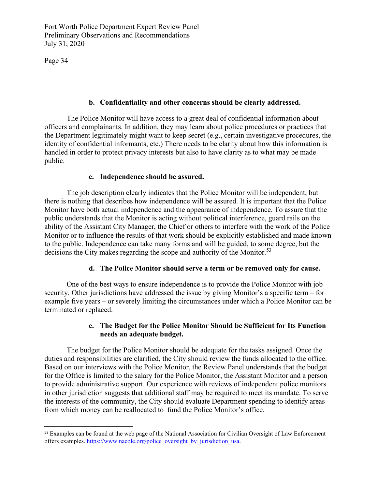Page 34

#### **b. Confidentiality and other concerns should be clearly addressed.**

The Police Monitor will have access to a great deal of confidential information about officers and complainants. In addition, they may learn about police procedures or practices that the Department legitimately might want to keep secret (e.g., certain investigative procedures, the identity of confidential informants, etc.) There needs to be clarity about how this information is handled in order to protect privacy interests but also to have clarity as to what may be made public.

#### **c. Independence should be assured.**

The job description clearly indicates that the Police Monitor will be independent, but there is nothing that describes how independence will be assured. It is important that the Police Monitor have both actual independence and the appearance of independence. To assure that the public understands that the Monitor is acting without political interference, guard rails on the ability of the Assistant City Manager, the Chief or others to interfere with the work of the Police Monitor or to influence the results of that work should be explicitly established and made known to the public. Independence can take many forms and will be guided, to some degree, but the decisions the City makes regarding the scope and authority of the Monitor.<sup>[53](#page-33-0)</sup>

#### **d. The Police Monitor should serve a term or be removed only for cause.**

One of the best ways to ensure independence is to provide the Police Monitor with job security. Other jurisdictions have addressed the issue by giving Monitor's a specific term – for example five years – or severely limiting the circumstances under which a Police Monitor can be terminated or replaced.

# **e. The Budget for the Police Monitor Should be Sufficient for Its Function needs an adequate budget.**

The budget for the Police Monitor should be adequate for the tasks assigned. Once the duties and responsibilities are clarified, the City should review the funds allocated to the office. Based on our interviews with the Police Monitor, the Review Panel understands that the budget for the Office is limited to the salary for the Police Monitor, the Assistant Monitor and a person to provide administrative support. Our experience with reviews of independent police monitors in other jurisdiction suggests that additional staff may be required to meet its mandate. To serve the interests of the community, the City should evaluate Department spending to identify areas from which money can be reallocated to fund the Police Monitor's office.

<span id="page-33-0"></span><sup>53</sup> Examples can be found at the web page of the National Association for Civilian Oversight of Law Enforcement offers examples[. https://www.nacole.org/police\\_oversight\\_by\\_jurisdiction\\_usa.](https://www.nacole.org/police_oversight_by_jurisdiction_usa)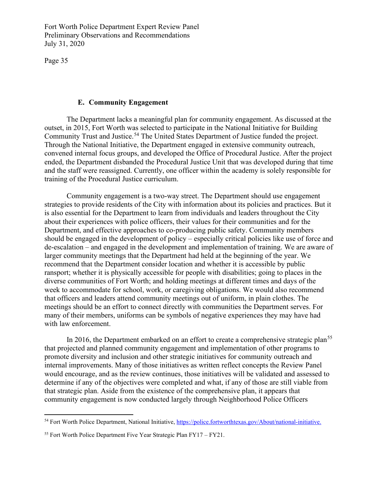Page 35

#### **E. Community Engagement**

The Department lacks a meaningful plan for community engagement. As discussed at the outset, in 2015, Fort Worth was selected to participate in the National Initiative for Building Community Trust and Justice.<sup>[54](#page-34-0)</sup> The United States Department of Justice funded the project. Through the National Initiative, the Department engaged in extensive community outreach, convened internal focus groups, and developed the Office of Procedural Justice. After the project ended, the Department disbanded the Procedural Justice Unit that was developed during that time and the staff were reassigned. Currently, one officer within the academy is solely responsible for training of the Procedural Justice curriculum.

 Community engagement is a two-way street. The Department should use engagement strategies to provide residents of the City with information about its policies and practices. But it is also essential for the Department to learn from individuals and leaders throughout the City about their experiences with police officers, their values for their communities and for the Department, and effective approaches to co-producing public safety. Community members should be engaged in the development of policy – especially critical policies like use of force and de-escalation – and engaged in the development and implementation of training. We are aware of larger community meetings that the Department had held at the beginning of the year. We recommend that the Department consider location and whether it is accessible by public ransport; whether it is physically accessible for people with disabilities; going to places in the diverse communities of Fort Worth; and holding meetings at different times and days of the week to accommodate for school, work, or caregiving obligations. We would also recommend that officers and leaders attend community meetings out of uniform, in plain clothes. The meetings should be an effort to connect directly with communities the Department serves. For many of their members, uniforms can be symbols of negative experiences they may have had with law enforcement.

In 2016, the Department embarked on an effort to create a comprehensive strategic plan<sup>[55](#page-34-1)</sup> that projected and planned community engagement and implementation of other programs to promote diversity and inclusion and other strategic initiatives for community outreach and internal improvements. Many of those initiatives as written reflect concepts the Review Panel would encourage, and as the review continues, those initiatives will be validated and assessed to determine if any of the objectives were completed and what, if any of those are still viable from that strategic plan. Aside from the existence of the comprehensive plan, it appears that community engagement is now conducted largely through Neighborhood Police Officers

<span id="page-34-0"></span><sup>54</sup> Fort Worth Police Department, National Initiative, [https://police.fortworthtexas.gov/About/national-initiative.](https://police.fortworthtexas.gov/About/national-initiative)

<span id="page-34-1"></span><sup>&</sup>lt;sup>55</sup> Fort Worth Police Department Five Year Strategic Plan FY17 – FY21.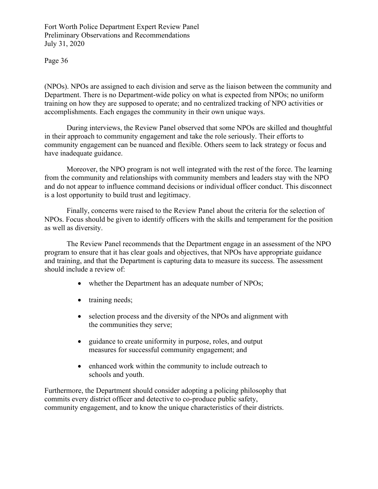Page 36

(NPOs). NPOs are assigned to each division and serve as the liaison between the community and Department. There is no Department-wide policy on what is expected from NPOs; no uniform training on how they are supposed to operate; and no centralized tracking of NPO activities or accomplishments. Each engages the community in their own unique ways.

During interviews, the Review Panel observed that some NPOs are skilled and thoughtful in their approach to community engagement and take the role seriously. Their efforts to community engagement can be nuanced and flexible. Others seem to lack strategy or focus and have inadequate guidance.

Moreover, the NPO program is not well integrated with the rest of the force. The learning from the community and relationships with community members and leaders stay with the NPO and do not appear to influence command decisions or individual officer conduct. This disconnect is a lost opportunity to build trust and legitimacy.

Finally, concerns were raised to the Review Panel about the criteria for the selection of NPOs. Focus should be given to identify officers with the skills and temperament for the position as well as diversity.

The Review Panel recommends that the Department engage in an assessment of the NPO program to ensure that it has clear goals and objectives, that NPOs have appropriate guidance and training, and that the Department is capturing data to measure its success. The assessment should include a review of:

- whether the Department has an adequate number of NPOs;
- training needs;
- selection process and the diversity of the NPOs and alignment with the communities they serve;
- guidance to create uniformity in purpose, roles, and output measures for successful community engagement; and
- enhanced work within the community to include outreach to schools and youth.

Furthermore, the Department should consider adopting a policing philosophy that commits every district officer and detective to co-produce public safety, community engagement, and to know the unique characteristics of their districts.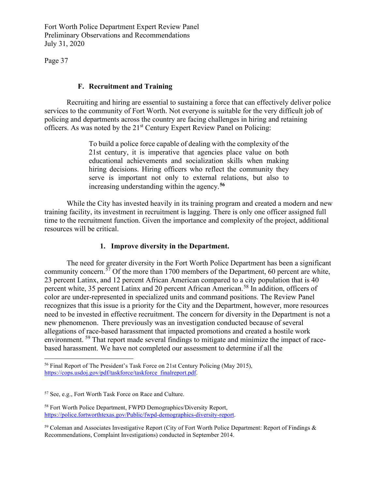Page 37

# **F. Recruitment and Training**

Recruiting and hiring are essential to sustaining a force that can effectively deliver police services to the community of Fort Worth. Not everyone is suitable for the very difficult job of policing and departments across the country are facing challenges in hiring and retaining officers. As was noted by the 21<sup>st</sup> Century Expert Review Panel on Policing:

> To build a police force capable of dealing with the complexity of the 21st century, it is imperative that agencies place value on both educational achievements and socialization skills when making hiring decisions. Hiring officers who reflect the community they serve is important not only to external relations, but also to increasing understanding within the agency.**[56](#page-36-0)**

 While the City has invested heavily in its training program and created a modern and new training facility, its investment in recruitment is lagging. There is only one officer assigned full time to the recruitment function. Given the importance and complexity of the project, additional resources will be critical.

# **1. Improve diversity in the Department.**

The need for greater diversity in the Fort Worth Police Department has been a significant community concern.[57](#page-36-1) Of the more than 1700 members of the Department, 60 percent are white, 23 percent Latinx, and 12 percent African American compared to a city population that is 40 percent white, 35 percent Latinx and 20 percent African American.<sup>58</sup> In addition, officers of color are under-represented in specialized units and command positions. The Review Panel recognizes that this issue is a priority for the City and the Department, however, more resources need to be invested in effective recruitment. The concern for diversity in the Department is not a new phenomenon. There previously was an investigation conducted because of several allegations of race-based harassment that impacted promotions and created a hostile work environment. [59](#page-36-3) That report made several findings to mitigate and minimize the impact of racebased harassment. We have not completed our assessment to determine if all the

<span id="page-36-0"></span><sup>56</sup> Final Report of The President's Task Force on 21st Century Policing (May 2015), [https://cops.usdoj.gov/pdf/taskforce/taskforce\\_finalreport.pdf.](https://cops.usdoj.gov/pdf/taskforce/taskforce_finalreport.pdf)

<span id="page-36-1"></span><sup>57</sup> See, e.g., Fort Worth Task Force on Race and Culture.

<span id="page-36-2"></span><sup>58</sup> Fort Worth Police Department, FWPD Demographics/Diversity Report, [https://police.fortworthtexas.gov/Public/fwpd-demographics-diversity-report.](https://police.fortworthtexas.gov/Public/fwpd-demographics-diversity-report)

<span id="page-36-3"></span> $59$  Coleman and Associates Investigative Report (City of Fort Worth Police Department: Report of Findings  $\&$ Recommendations, Complaint Investigations) conducted in September 2014.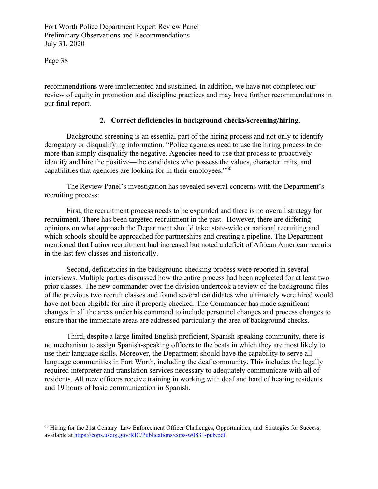Page 38

recommendations were implemented and sustained. In addition, we have not completed our review of equity in promotion and discipline practices and may have further recommendations in our final report.

#### **2. Correct deficiencies in background checks/screening/hiring.**

 Background screening is an essential part of the hiring process and not only to identify derogatory or disqualifying information. "Police agencies need to use the hiring process to do more than simply disqualify the negative. Agencies need to use that process to proactively identify and hire the positive—the candidates who possess the values, character traits, and capabilities that agencies are looking for in their employees."<sup>[60](#page-37-0)</sup>

The Review Panel's investigation has revealed several concerns with the Department's recruiting process:

First, the recruitment process needs to be expanded and there is no overall strategy for recruitment. There has been targeted recruitment in the past. However, there are differing opinions on what approach the Department should take: state-wide or national recruiting and which schools should be approached for partnerships and creating a pipeline. The Department mentioned that Latinx recruitment had increased but noted a deficit of African American recruits in the last few classes and historically.

 Second, deficiencies in the background checking process were reported in several interviews. Multiple parties discussed how the entire process had been neglected for at least two prior classes. The new commander over the division undertook a review of the background files of the previous two recruit classes and found several candidates who ultimately were hired would have not been eligible for hire if properly checked. The Commander has made significant changes in all the areas under his command to include personnel changes and process changes to ensure that the immediate areas are addressed particularly the area of background checks.

 Third, despite a large limited English proficient, Spanish-speaking community, there is no mechanism to assign Spanish-speaking officers to the beats in which they are most likely to use their language skills. Moreover, the Department should have the capability to serve all language communities in Fort Worth, including the deaf community. This includes the legally required interpreter and translation services necessary to adequately communicate with all of residents. All new officers receive training in working with deaf and hard of hearing residents and 19 hours of basic communication in Spanish.

<span id="page-37-0"></span><sup>60</sup> Hiring for the 21st Century Law Enforcement Officer Challenges, Opportunities, and Strategies for Success, available at <https://cops.usdoj.gov/RIC/Publications/cops-w0831-pub.pdf>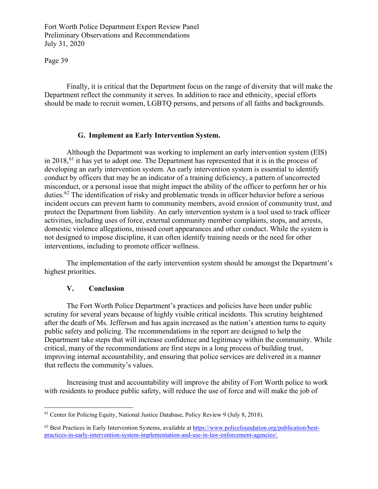Page 39

 Finally, it is critical that the Department focus on the range of diversity that will make the Department reflect the community it serves. In addition to race and ethnicity, special efforts should be made to recruit women, LGBTQ persons, and persons of all faiths and backgrounds.

#### **G. Implement an Early Intervention System.**

 Although the Department was working to implement an early intervention system (EIS) in 2018,  $61$  it has yet to adopt one. The Department has represented that it is in the process of developing an early intervention system. An early intervention system is essential to identify conduct by officers that may be an indicator of a training deficiency, a pattern of uncorrected misconduct, or a personal issue that might impact the ability of the officer to perform her or his duties.<sup>[62](#page-38-1)</sup> The identification of risky and problematic trends in officer behavior before a serious incident occurs can prevent harm to community members, avoid erosion of community trust, and protect the Department from liability. An early intervention system is a tool used to track officer activities, including uses of force, external community member complaints, stops, and arrests, domestic violence allegations, missed court appearances and other conduct. While the system is not designed to impose discipline, it can often identify training needs or the need for other interventions, including to promote officer wellness.

The implementation of the early intervention system should be amongst the Department's highest priorities.

#### **V. Conclusion**

 The Fort Worth Police Department's practices and policies have been under public scrutiny for several years because of highly visible critical incidents. This scrutiny heightened after the death of Ms. Jefferson and has again increased as the nation's attention turns to equity public safety and policing. The recommendations in the report are designed to help the Department take steps that will increase confidence and legitimacy within the community. While critical, many of the recommendations are first steps in a long process of building trust, improving internal accountability, and ensuring that police services are delivered in a manner that reflects the community's values.

Increasing trust and accountability will improve the ability of Fort Worth police to work with residents to produce public safety, will reduce the use of force and will make the job of

<span id="page-38-0"></span><sup>&</sup>lt;sup>61</sup> Center for Policing Equity, National Justice Database, Policy Review 9 (July 8, 2018).

<span id="page-38-1"></span><sup>&</sup>lt;sup>62</sup> Best Practices in Early Intervention Systems, available at [https://www.policefoundation.org/publication/best](https://www.policefoundation.org/publication/best-practices-in-early-intervention-system-implementation-and-use-in-law-enforcement-agencies/)[practices-in-early-intervention-system-implementation-and-use-in-law-enforcement-agencies/.](https://www.policefoundation.org/publication/best-practices-in-early-intervention-system-implementation-and-use-in-law-enforcement-agencies/)